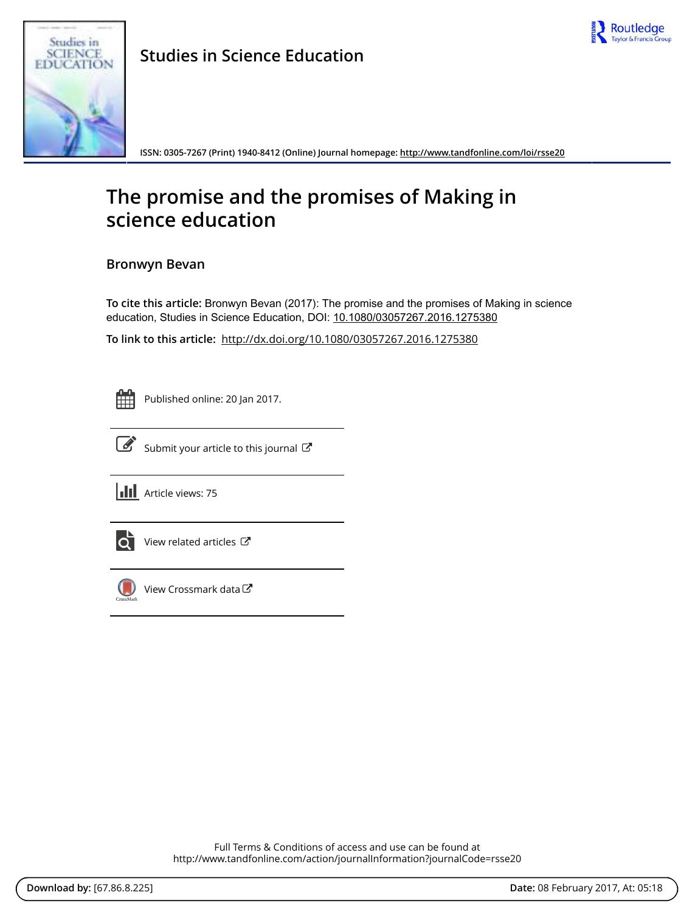



**Studies in Science Education**

**ISSN: 0305-7267 (Print) 1940-8412 (Online) Journal homepage:<http://www.tandfonline.com/loi/rsse20>**

# **The promise and the promises of Making in science education**

# **Bronwyn Bevan**

**To cite this article:** Bronwyn Bevan (2017): The promise and the promises of Making in science education, Studies in Science Education, DOI: [10.1080/03057267.2016.1275380](http://www.tandfonline.com/action/showCitFormats?doi=10.1080/03057267.2016.1275380)

**To link to this article:** <http://dx.doi.org/10.1080/03057267.2016.1275380>



Published online: 20 Jan 2017.



 $\overrightarrow{S}$  [Submit your article to this journal](http://www.tandfonline.com/action/authorSubmission?journalCode=rsse20&show=instructions)  $\overrightarrow{S}$ 





[View related articles](http://www.tandfonline.com/doi/mlt/10.1080/03057267.2016.1275380) C



[View Crossmark data](http://crossmark.crossref.org/dialog/?doi=10.1080/03057267.2016.1275380&domain=pdf&date_stamp=2017-01-20)

Full Terms & Conditions of access and use can be found at <http://www.tandfonline.com/action/journalInformation?journalCode=rsse20>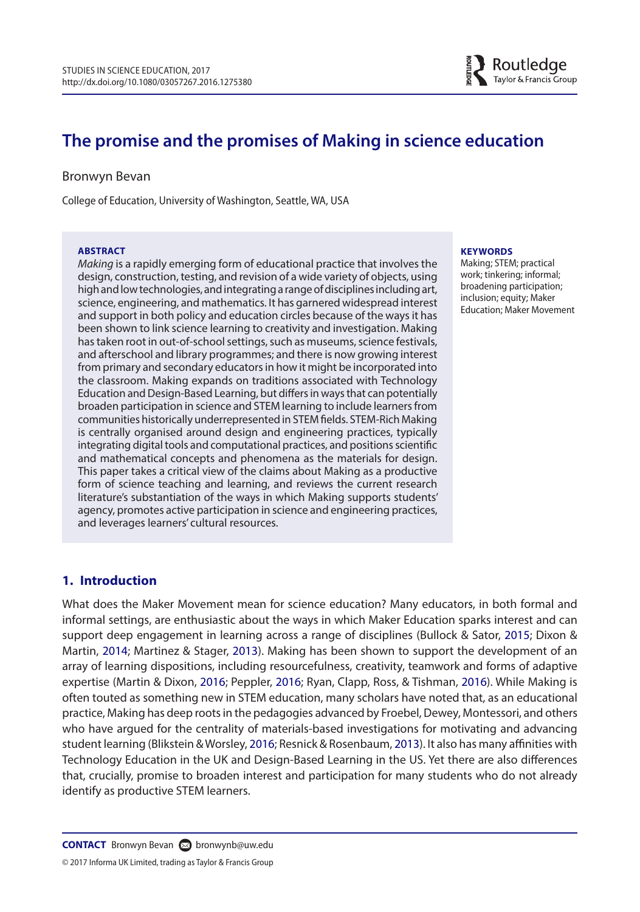# **The promise and the promises of Making in science education**

Bronwyn Bevan

College of Education, University of Washington, Seattle, WA, USA

#### **ABSTRACT**

*Making* is a rapidly emerging form of educational practice that involves the design, construction, testing, and revision of a wide variety of objects, using high and low technologies, and integrating a range of disciplines including art, science, engineering, and mathematics. It has garnered widespread interest and support in both policy and education circles because of the ways it has been shown to link science learning to creativity and investigation. Making has taken root in out-of-school settings, such as museums, science festivals, and afterschool and library programmes; and there is now growing interest from primary and secondary educators in how it might be incorporated into the classroom. Making expands on traditions associated with Technology Education and Design-Based Learning, but differs in ways that can potentially broaden participation in science and STEM learning to include learners from communities historically underrepresented in STEM fields. STEM-Rich Making is centrally organised around design and engineering practices, typically integrating digital tools and computational practices, and positions scientific and mathematical concepts and phenomena as the materials for design. This paper takes a critical view of the claims about Making as a productive form of science teaching and learning, and reviews the current research literature's substantiation of the ways in which Making supports students' agency, promotes active participation in science and engineering practices, and leverages learners' cultural resources.

#### **KEYWORDS**

<span id="page-1-7"></span><span id="page-1-6"></span><span id="page-1-5"></span><span id="page-1-1"></span>Making; STEM; practical work; tinkering; informal; broadening participation; inclusion; equity; Maker Education; Maker Movement

### **1. Introduction**

<span id="page-1-4"></span><span id="page-1-3"></span><span id="page-1-2"></span><span id="page-1-0"></span>What does the Maker Movement mean for science education? Many educators, in both formal and informal settings, are enthusiastic about the ways in which Maker Education sparks interest and can support deep engagement in learning across a range of disciplines (Bullock & Sator, [2015;](#page-26-0) Dixon & Martin, [2014](#page-26-1); Martinez & Stager, [2013\)](#page-28-0). Making has been shown to support the development of an array of learning dispositions, including resourcefulness, creativity, teamwork and forms of adaptive expertise (Martin & Dixon, [2016;](#page-28-1) Peppler, [2016](#page-28-2); Ryan, Clapp, Ross, & Tishman, [2016](#page-29-0)). While Making is often touted as something new in STEM education, many scholars have noted that, as an educational practice, Making has deep roots in the pedagogies advanced by Froebel, Dewey, Montessori, and others who have argued for the centrality of materials-based investigations for motivating and advancing student learning (Blikstein & Worsley, [2016;](#page-26-2) Resnick & Rosenbaum, [2013\)](#page-28-3). It also has many affinities with Technology Education in the UK and Design-Based Learning in the US. Yet there are also differences that, crucially, promise to broaden interest and participation for many students who do not already identify as productive STEM learners.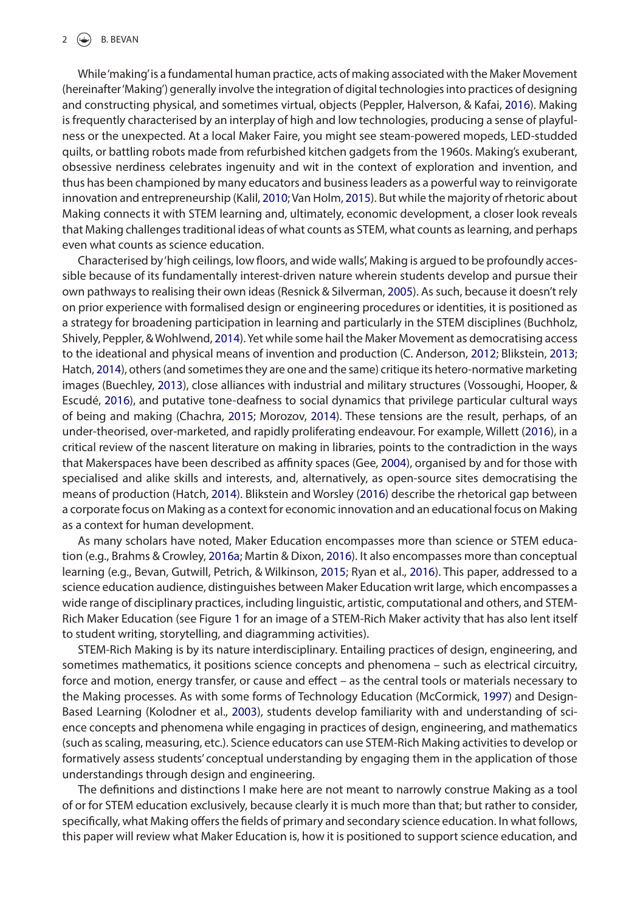<span id="page-2-13"></span>While 'making' is a fundamental human practice, acts of making associated with the Maker Movement (hereinafter 'Making') generally involve the integration of digital technologies into practices of designing and constructing physical, and sometimes virtual, objects (Peppler, Halverson, & Kafai, [2016\)](#page-28-4). Making is frequently characterised by an interplay of high and low technologies, producing a sense of playfulness or the unexpected. At a local Maker Faire, you might see steam-powered mopeds, LED-studded quilts, or battling robots made from refurbished kitchen gadgets from the 1960s. Making's exuberant, obsessive nerdiness celebrates ingenuity and wit in the context of exploration and invention, and thus has been championed by many educators and business leaders as a powerful way to reinvigorate innovation and entrepreneurship (Kalil, [2010;](#page-27-0) Van Holm, [2015\)](#page-29-1). But while the majority of rhetoric about Making connects it with STEM learning and, ultimately, economic development, a closer look reveals that Making challenges traditional ideas of what counts as STEM, what counts as learning, and perhaps even what counts as science education.

<span id="page-2-16"></span><span id="page-2-15"></span><span id="page-2-14"></span><span id="page-2-9"></span><span id="page-2-8"></span><span id="page-2-5"></span><span id="page-2-4"></span><span id="page-2-2"></span><span id="page-2-0"></span>Characterised by 'high ceilings, low floors, and wide walls', Making is argued to be profoundly accessible because of its fundamentally interest-driven nature wherein students develop and pursue their own pathways to realising their own ideas (Resnick & Silverman, [2005](#page-29-2)). As such, because it doesn't rely on prior experience with formalised design or engineering procedures or identities, it is positioned as a strategy for broadening participation in learning and particularly in the STEM disciplines (Buchholz, Shively, Peppler, & Wohlwend, [2014\)](#page-26-3). Yet while some hail the Maker Movement as democratising access to the ideational and physical means of invention and production (C. Anderson, [2012;](#page-25-0) Blikstein, [2013](#page-26-4); Hatch, [2014](#page-27-1)), others (and sometimes they are one and the same) critique its hetero-normative marketing images (Buechley, [2013\)](#page-26-5), close alliances with industrial and military structures (Vossoughi, Hooper, & Escudé, [2016](#page-29-3)), and putative tone-deafness to social dynamics that privilege particular cultural ways of being and making (Chachra, [2015](#page-26-6); Morozov, [2014](#page-28-5)). These tensions are the result, perhaps, of an under-theorised, over-marketed, and rapidly proliferating endeavour. For example, Willett ([2016](#page-29-4)), in a critical review of the nascent literature on making in libraries, points to the contradiction in the ways that Makerspaces have been described as affinity spaces (Gee, [2004](#page-27-2)), organised by and for those with specialised and alike skills and interests, and, alternatively, as open-source sites democratising the means of production (Hatch, [2014\)](#page-27-1). Blikstein and Worsley ([2016](#page-26-2)) describe the rhetorical gap between a corporate focus on Making as a context for economic innovation and an educational focus on Making as a context for human development.

<span id="page-2-17"></span><span id="page-2-12"></span><span id="page-2-7"></span><span id="page-2-6"></span><span id="page-2-3"></span><span id="page-2-1"></span>As many scholars have noted, Maker Education encompasses more than science or STEM education (e.g., Brahms & Crowley, [2016a;](#page-26-7) Martin & Dixon, [2016](#page-28-1)). It also encompasses more than conceptual learning (e.g., Bevan, Gutwill, Petrich, & Wilkinson, [2015;](#page-26-8) Ryan et al., [2016](#page-29-0)). This paper, addressed to a science education audience, distinguishes between Maker Education writ large, which encompasses a wide range of disciplinary practices, including linguistic, artistic, computational and others, and STEM-Rich Maker Education (see Figure [1](#page-3-0) for an image of a STEM-Rich Maker activity that has also lent itself to student writing, storytelling, and diagramming activities).

<span id="page-2-11"></span><span id="page-2-10"></span>STEM-Rich Making is by its nature interdisciplinary. Entailing practices of design, engineering, and sometimes mathematics, it positions science concepts and phenomena – such as electrical circuitry, force and motion, energy transfer, or cause and effect – as the central tools or materials necessary to the Making processes. As with some forms of Technology Education (McCormick, [1997\)](#page-28-6) and Design-Based Learning (Kolodner et al., [2003](#page-27-3)), students develop familiarity with and understanding of science concepts and phenomena while engaging in practices of design, engineering, and mathematics (such as scaling, measuring, etc.). Science educators can use STEM-Rich Making activities to develop or formatively assess students' conceptual understanding by engaging them in the application of those understandings through design and engineering.

The definitions and distinctions I make here are not meant to narrowly construe Making as a tool of or for STEM education exclusively, because clearly it is much more than that; but rather to consider, specifically, what Making offers the fields of primary and secondary science education. In what follows, this paper will review what Maker Education is, how it is positioned to support science education, and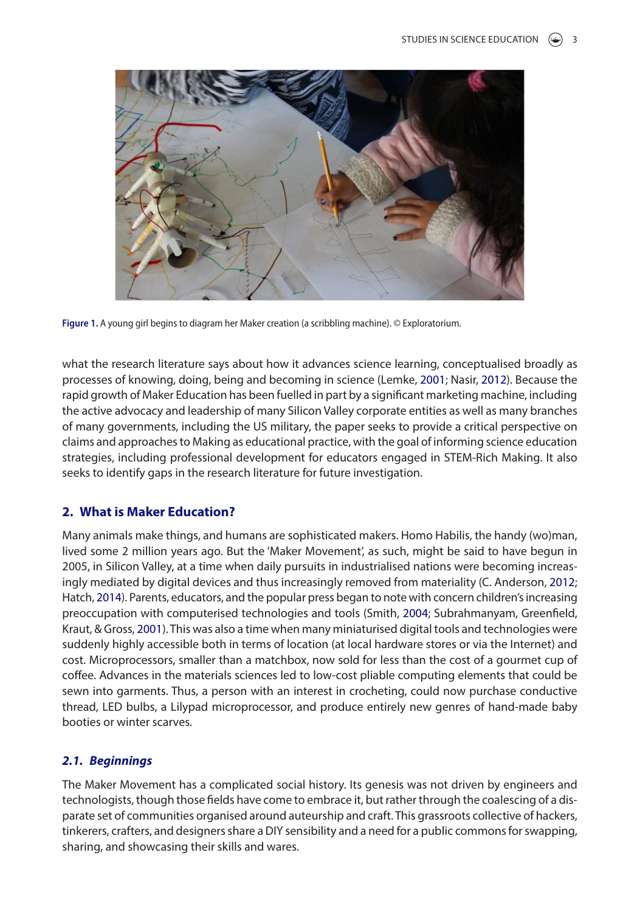

**Figure 1.** A young girl begins to diagram her Maker creation (a scribbling machine). © Exploratorium.

<span id="page-3-2"></span><span id="page-3-1"></span><span id="page-3-0"></span>what the research literature says about how it advances science learning, conceptualised broadly as processes of knowing, doing, being and becoming in science (Lemke, [2001](#page-27-4); Nasir, [2012\)](#page-28-7). Because the rapid growth of Maker Education has been fuelled in part by a significant marketing machine, including the active advocacy and leadership of many Silicon Valley corporate entities as well as many branches of many governments, including the US military, the paper seeks to provide a critical perspective on claims and approaches to Making as educational practice, with the goal of informing science education strategies, including professional development for educators engaged in STEM-Rich Making. It also seeks to identify gaps in the research literature for future investigation.

## **2. What is Maker Education?**

<span id="page-3-4"></span><span id="page-3-3"></span>Many animals make things, and humans are sophisticated makers. Homo Habilis, the handy (wo)man, lived some 2 million years ago. But the 'Maker Movement', as such, might be said to have begun in 2005, in Silicon Valley, at a time when daily pursuits in industrialised nations were becoming increasingly mediated by digital devices and thus increasingly removed from materiality (C. Anderson, [2012](#page-25-0); Hatch, [2014\)](#page-27-1). Parents, educators, and the popular press began to note with concern children's increasing preoccupation with computerised technologies and tools (Smith, [2004](#page-29-5); Subrahmanyam, Greenfield, Kraut, & Gross, [2001](#page-29-6)). This was also a time when many miniaturised digital tools and technologies were suddenly highly accessible both in terms of location (at local hardware stores or via the Internet) and cost. Microprocessors, smaller than a matchbox, now sold for less than the cost of a gourmet cup of coffee. Advances in the materials sciences led to low-cost pliable computing elements that could be sewn into garments. Thus, a person with an interest in crocheting, could now purchase conductive thread, LED bulbs, a Lilypad microprocessor, and produce entirely new genres of hand-made baby booties or winter scarves.

## *2.1. Beginnings*

The Maker Movement has a complicated social history. Its genesis was not driven by engineers and technologists, though those fields have come to embrace it, but rather through the coalescing of a disparate set of communities organised around auteurship and craft. This grassroots collective of hackers, tinkerers, crafters, and designers share a DIY sensibility and a need for a public commons for swapping, sharing, and showcasing their skills and wares.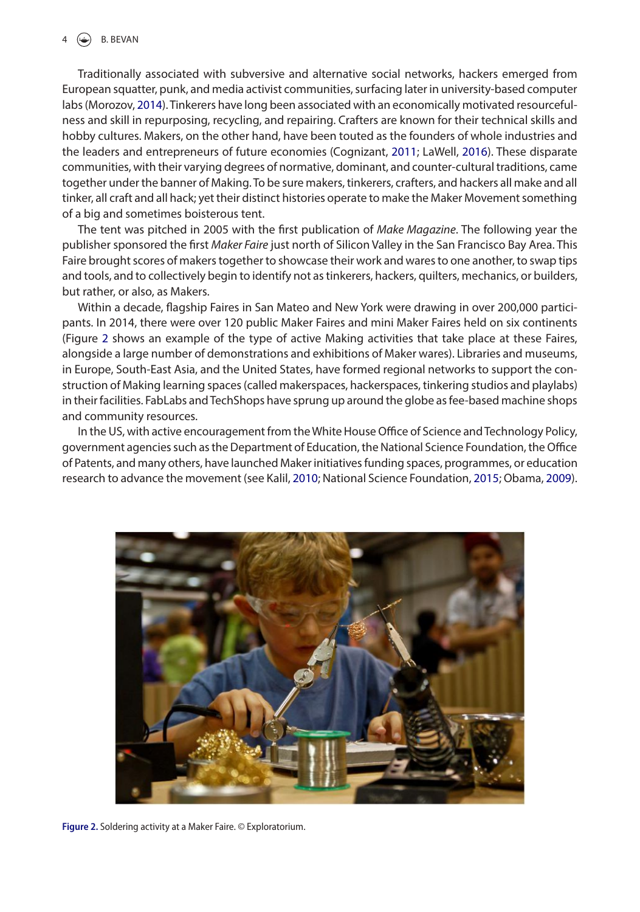<span id="page-4-2"></span><span id="page-4-1"></span>Traditionally associated with subversive and alternative social networks, hackers emerged from European squatter, punk, and media activist communities, surfacing later in university-based computer labs (Morozov, [2014](#page-28-5)). Tinkerers have long been associated with an economically motivated resourcefulness and skill in repurposing, recycling, and repairing. Crafters are known for their technical skills and hobby cultures. Makers, on the other hand, have been touted as the founders of whole industries and the leaders and entrepreneurs of future economies (Cognizant, [2011](#page-26-9); LaWell, [2016\)](#page-27-5). These disparate communities, with their varying degrees of normative, dominant, and counter-cultural traditions, came together under the banner of Making. To be sure makers, tinkerers, crafters, and hackers all make and all tinker, all craft and all hack; yet their distinct histories operate to make the Maker Movement something of a big and sometimes boisterous tent.

The tent was pitched in 2005 with the first publication of *Make Magazine*. The following year the publisher sponsored the first *Maker Faire* just north of Silicon Valley in the San Francisco Bay Area. This Faire brought scores of makers together to showcase their work and wares to one another, to swap tips and tools, and to collectively begin to identify not as tinkerers, hackers, quilters, mechanics, or builders, but rather, or also, as Makers.

Within a decade, flagship Faires in San Mateo and New York were drawing in over 200,000 participants. In 2014, there were over 120 public Maker Faires and mini Maker Faires held on six continents (Figure [2](#page-4-0) shows an example of the type of active Making activities that take place at these Faires, alongside a large number of demonstrations and exhibitions of Maker wares). Libraries and museums, in Europe, South-East Asia, and the United States, have formed regional networks to support the construction of Making learning spaces (called makerspaces, hackerspaces, tinkering studios and playlabs) in their facilities. FabLabs and TechShops have sprung up around the globe as fee-based machine shops and community resources.

<span id="page-4-4"></span><span id="page-4-3"></span>In the US, with active encouragement from the White House Office of Science and Technology Policy, government agencies such as the Department of Education, the National Science Foundation, the Office of Patents, and many others, have launched Maker initiatives funding spaces, programmes, or education research to advance the movement (see Kalil, [2010](#page-27-0); National Science Foundation, [2015;](#page-28-8) Obama, [2009\)](#page-28-9).

<span id="page-4-0"></span>

**Figure 2.** Soldering activity at a Maker Faire. © Exploratorium.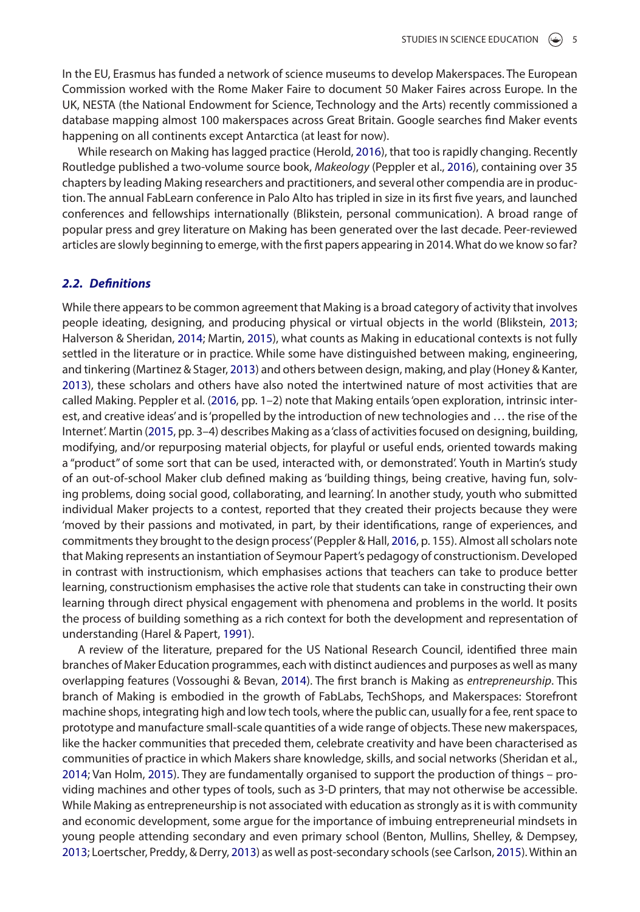In the EU, Erasmus has funded a network of science museums to develop Makerspaces. The European Commission worked with the Rome Maker Faire to document 50 Maker Faires across Europe. In the UK, NESTA (the National Endowment for Science, Technology and the Arts) recently commissioned a database mapping almost 100 makerspaces across Great Britain. Google searches find Maker events happening on all continents except Antarctica (at least for now).

<span id="page-5-4"></span>While research on Making has lagged practice (Herold, [2016\)](#page-27-6), that too is rapidly changing. Recently Routledge published a two-volume source book, *Makeology* (Peppler et al., [2016](#page-28-4)), containing over 35 chapters by leading Making researchers and practitioners, and several other compendia are in production. The annual FabLearn conference in Palo Alto has tripled in size in its first five years, and launched conferences and fellowships internationally (Blikstein, personal communication). A broad range of popular press and grey literature on Making has been generated over the last decade. Peer-reviewed articles are slowly beginning to emerge, with the first papers appearing in 2014. What do we know so far?

#### *2.2. Definitions*

<span id="page-5-7"></span><span id="page-5-5"></span><span id="page-5-2"></span>While there appears to be common agreement that Making is a broad category of activity that involves people ideating, designing, and producing physical or virtual objects in the world (Blikstein, [2013](#page-26-4); Halverson & Sheridan, [2014](#page-27-7); Martin, [2015](#page-28-10)), what counts as Making in educational contexts is not fully settled in the literature or in practice. While some have distinguished between making, engineering, and tinkering (Martinez & Stager, [2013\)](#page-28-0) and others between design, making, and play (Honey & Kanter, [2013](#page-27-8)), these scholars and others have also noted the intertwined nature of most activities that are called Making. Peppler et al. ([2016](#page-28-4), pp. 1–2) note that Making entails 'open exploration, intrinsic interest, and creative ideas' and is 'propelled by the introduction of new technologies and … the rise of the Internet'. Martin [\(2015,](#page-28-10) pp. 3–4) describes Making as a 'class of activities focused on designing, building, modifying, and/or repurposing material objects, for playful or useful ends, oriented towards making a "product" of some sort that can be used, interacted with, or demonstrated'. Youth in Martin's study of an out-of-school Maker club defined making as 'building things, being creative, having fun, solving problems, doing social good, collaborating, and learning'. In another study, youth who submitted individual Maker projects to a contest, reported that they created their projects because they were 'moved by their passions and motivated, in part, by their identifications, range of experiences, and commitments they brought to the design process' (Peppler & Hall, [2016](#page-28-11), p. 155). Almost all scholars note that Making represents an instantiation of Seymour Papert's pedagogy of constructionism. Developed in contrast with instructionism, which emphasises actions that teachers can take to produce better learning, constructionism emphasises the active role that students can take in constructing their own learning through direct physical engagement with phenomena and problems in the world. It posits the process of building something as a rich context for both the development and representation of understanding (Harel & Papert, [1991](#page-27-9)).

<span id="page-5-10"></span><span id="page-5-9"></span><span id="page-5-8"></span><span id="page-5-6"></span><span id="page-5-3"></span><span id="page-5-1"></span><span id="page-5-0"></span>A review of the literature, prepared for the US National Research Council, identified three main branches of Maker Education programmes, each with distinct audiences and purposes as well as many overlapping features (Vossoughi & Bevan, [2014](#page-29-7)). The first branch is Making as *entrepreneurship*. This branch of Making is embodied in the growth of FabLabs, TechShops, and Makerspaces: Storefront machine shops, integrating high and low tech tools, where the public can, usually for a fee, rent space to prototype and manufacture small-scale quantities of a wide range of objects. These new makerspaces, like the hacker communities that preceded them, celebrate creativity and have been characterised as communities of practice in which Makers share knowledge, skills, and social networks (Sheridan et al., [2014](#page-29-8); Van Holm, [2015\)](#page-29-1). They are fundamentally organised to support the production of things – providing machines and other types of tools, such as 3-D printers, that may not otherwise be accessible. While Making as entrepreneurship is not associated with education as strongly as it is with community and economic development, some argue for the importance of imbuing entrepreneurial mindsets in young people attending secondary and even primary school (Benton, Mullins, Shelley, & Dempsey, [2013](#page-25-1); Loertscher, Preddy, & Derry, [2013\)](#page-27-10) as well as post-secondary schools (see Carlson, [2015](#page-26-10)). Within an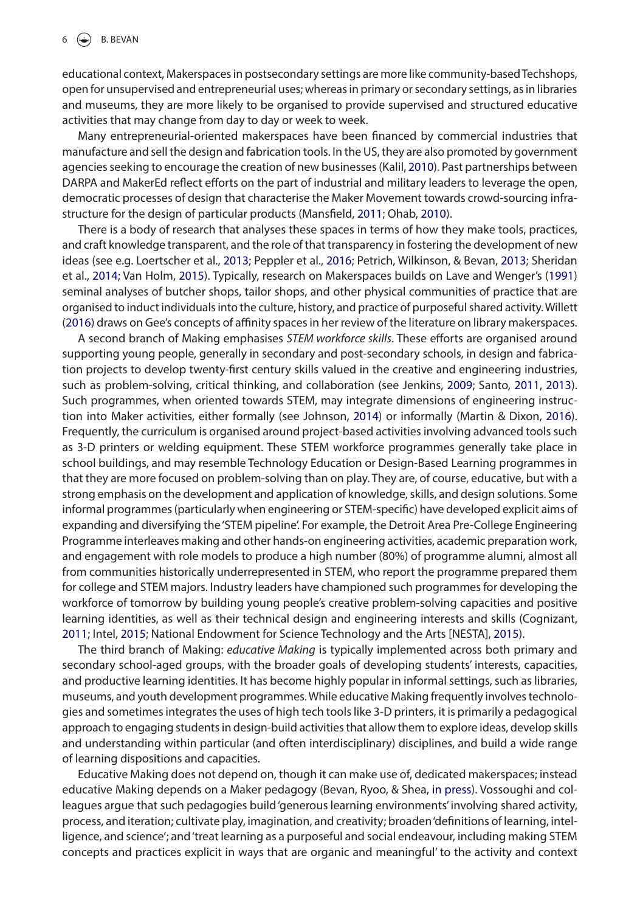educational context, Makerspaces in postsecondary settings are more like community-based Techshops, open for unsupervised and entrepreneurial uses; whereas in primary or secondary settings, as in libraries and museums, they are more likely to be organised to provide supervised and structured educative activities that may change from day to day or week to week.

Many entrepreneurial-oriented makerspaces have been financed by commercial industries that manufacture and sell the design and fabrication tools. In the US, they are also promoted by government agencies seeking to encourage the creation of new businesses (Kalil, [2010](#page-27-0)). Past partnerships between DARPA and MakerEd reflect efforts on the part of industrial and military leaders to leverage the open, democratic processes of design that characterise the Maker Movement towards crowd-sourcing infrastructure for the design of particular products (Mansfield, [2011;](#page-27-11) Ohab, [2010\)](#page-28-12).

<span id="page-6-8"></span><span id="page-6-7"></span><span id="page-6-5"></span><span id="page-6-4"></span>There is a body of research that analyses these spaces in terms of how they make tools, practices, and craft knowledge transparent, and the role of that transparency in fostering the development of new ideas (see e.g. Loertscher et al., [2013;](#page-27-10) Peppler et al., [2016](#page-28-4); Petrich, Wilkinson, & Bevan, [2013;](#page-28-13) Sheridan et al., [2014;](#page-29-8) Van Holm, [2015](#page-29-1)). Typically, research on Makerspaces builds on Lave and Wenger's [\(1991\)](#page-27-12) seminal analyses of butcher shops, tailor shops, and other physical communities of practice that are organised to induct individuals into the culture, history, and practice of purposeful shared activity. Willett ([2016](#page-29-4)) draws on Gee's concepts of affinity spaces in her review of the literature on library makerspaces.

<span id="page-6-10"></span><span id="page-6-9"></span><span id="page-6-3"></span><span id="page-6-2"></span>A second branch of Making emphasises *STEM workforce skills*. These efforts are organised around supporting young people, generally in secondary and post-secondary schools, in design and fabrication projects to develop twenty-first century skills valued in the creative and engineering industries, such as problem-solving, critical thinking, and collaboration (see Jenkins, [2009](#page-27-13); Santo, [2011](#page-29-9), [2013\)](#page-29-10). Such programmes, when oriented towards STEM, may integrate dimensions of engineering instruction into Maker activities, either formally (see Johnson, [2014\)](#page-27-14) or informally (Martin & Dixon, [2016\)](#page-28-1). Frequently, the curriculum is organised around project-based activities involving advanced tools such as 3-D printers or welding equipment. These STEM workforce programmes generally take place in school buildings, and may resemble Technology Education or Design-Based Learning programmes in that they are more focused on problem-solving than on play. They are, of course, educative, but with a strong emphasis on the development and application of knowledge, skills, and design solutions. Some informal programmes (particularly when engineering or STEM-specific) have developed explicit aims of expanding and diversifying the 'STEM pipeline'. For example, the Detroit Area Pre-College Engineering Programme interleaves making and other hands-on engineering activities, academic preparation work, and engagement with role models to produce a high number (80%) of programme alumni, almost all from communities historically underrepresented in STEM, who report the programme prepared them for college and STEM majors. Industry leaders have championed such programmes for developing the workforce of tomorrow by building young people's creative problem-solving capacities and positive learning identities, as well as their technical design and engineering interests and skills (Cognizant, [2011](#page-26-9); Intel, [2015;](#page-27-15) National Endowment for Science Technology and the Arts [NESTA], [2015](#page-28-14)).

<span id="page-6-6"></span><span id="page-6-1"></span>The third branch of Making: *educative Making* is typically implemented across both primary and secondary school-aged groups, with the broader goals of developing students' interests, capacities, and productive learning identities. It has become highly popular in informal settings, such as libraries, museums, and youth development programmes. While educative Making frequently involves technologies and sometimes integrates the uses of high tech tools like 3-D printers, it is primarily a pedagogical approach to engaging students in design-build activities that allow them to explore ideas, develop skills and understanding within particular (and often interdisciplinary) disciplines, and build a wide range of learning dispositions and capacities.

<span id="page-6-0"></span>Educative Making does not depend on, though it can make use of, dedicated makerspaces; instead educative Making depends on a Maker pedagogy (Bevan, Ryoo, & Shea, [in press\)](#page-26-11). Vossoughi and colleagues argue that such pedagogies build 'generous learning environments' involving shared activity, process, and iteration; cultivate play, imagination, and creativity; broaden 'definitions of learning, intelligence, and science'; and 'treat learning as a purposeful and social endeavour, including making STEM concepts and practices explicit in ways that are organic and meaningful' to the activity and context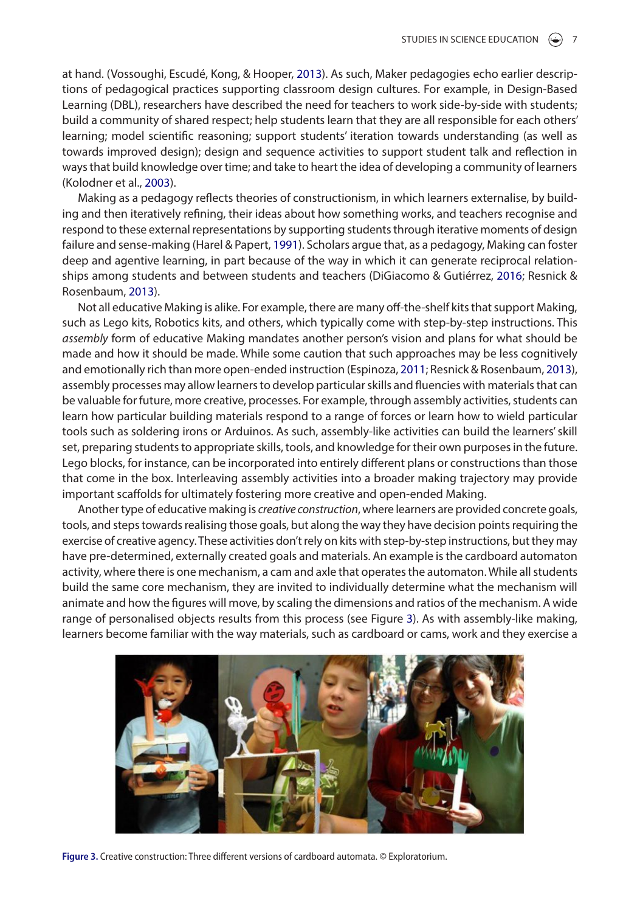<span id="page-7-3"></span>at hand. (Vossoughi, Escudé, Kong, & Hooper, [2013](#page-29-11)). As such, Maker pedagogies echo earlier descriptions of pedagogical practices supporting classroom design cultures. For example, in Design-Based Learning (DBL), researchers have described the need for teachers to work side-by-side with students; build a community of shared respect; help students learn that they are all responsible for each others' learning; model scientific reasoning; support students' iteration towards understanding (as well as towards improved design); design and sequence activities to support student talk and reflection in ways that build knowledge over time; and take to heart the idea of developing a community of learners (Kolodner et al., [2003](#page-27-3)).

Making as a pedagogy reflects theories of constructionism, in which learners externalise, by building and then iteratively refining, their ideas about how something works, and teachers recognise and respond to these external representations by supporting students through iterative moments of design failure and sense-making (Harel & Papert, [1991](#page-27-9)). Scholars argue that, as a pedagogy, Making can foster deep and agentive learning, in part because of the way in which it can generate reciprocal relationships among students and between students and teachers (DiGiacomo & Gutiérrez, [2016;](#page-26-12) Resnick & Rosenbaum, [2013\)](#page-28-3).

<span id="page-7-2"></span><span id="page-7-1"></span>Not all educative Making is alike. For example, there are many off-the-shelf kits that support Making, such as Lego kits, Robotics kits, and others, which typically come with step-by-step instructions. This *assembly* form of educative Making mandates another person's vision and plans for what should be made and how it should be made. While some caution that such approaches may be less cognitively and emotionally rich than more open-ended instruction (Espinoza, [2011](#page-26-13); Resnick & Rosenbaum, [2013\)](#page-28-3), assembly processes may allow learners to develop particular skills and fluencies with materials that can be valuable for future, more creative, processes. For example, through assembly activities, students can learn how particular building materials respond to a range of forces or learn how to wield particular tools such as soldering irons or Arduinos. As such, assembly-like activities can build the learners' skill set, preparing students to appropriate skills, tools, and knowledge for their own purposes in the future. Lego blocks, for instance, can be incorporated into entirely different plans or constructions than those that come in the box. Interleaving assembly activities into a broader making trajectory may provide important scaffolds for ultimately fostering more creative and open-ended Making.

Another type of educative making is *creative construction*, where learners are provided concrete goals, tools, and steps towards realising those goals, but along the way they have decision points requiring the exercise of creative agency. These activities don't rely on kits with step-by-step instructions, but they may have pre-determined, externally created goals and materials. An example is the cardboard automaton activity, where there is one mechanism, a cam and axle that operates the automaton. While all students build the same core mechanism, they are invited to individually determine what the mechanism will animate and how the figures will move, by scaling the dimensions and ratios of the mechanism. A wide range of personalised objects results from this process (see Figure [3](#page-7-0)). As with assembly-like making, learners become familiar with the way materials, such as cardboard or cams, work and they exercise a

<span id="page-7-0"></span>

**Figure 3.** Creative construction: Three different versions of cardboard automata. © Exploratorium.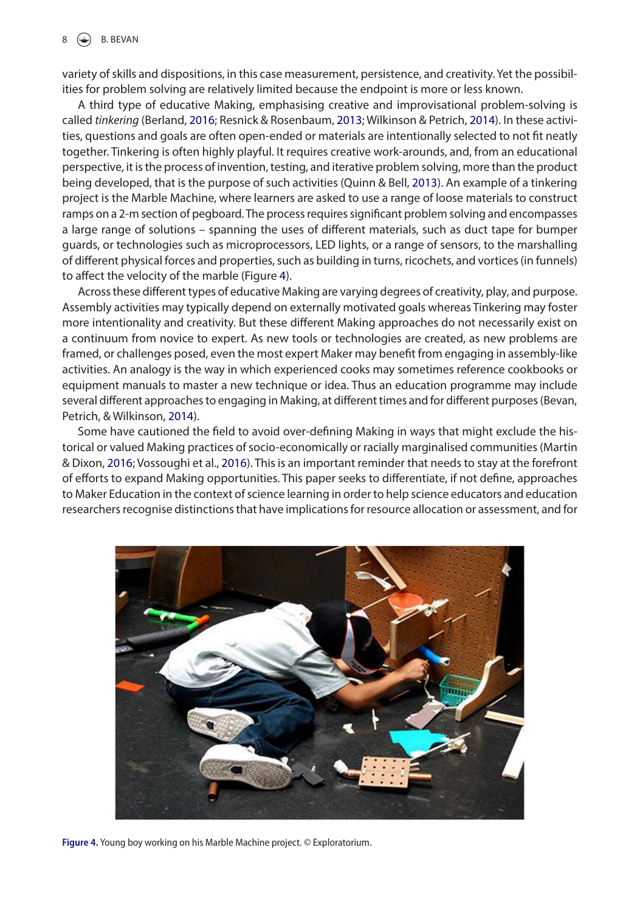variety of skills and dispositions, in this case measurement, persistence, and creativity. Yet the possibilities for problem solving are relatively limited because the endpoint is more or less known.

<span id="page-8-4"></span><span id="page-8-3"></span><span id="page-8-1"></span>A third type of educative Making, emphasising creative and improvisational problem-solving is called *tinkering* (Berland, [2016;](#page-26-14) Resnick & Rosenbaum, [2013](#page-28-3); Wilkinson & Petrich, [2014\)](#page-29-12). In these activities, questions and goals are often open-ended or materials are intentionally selected to not fit neatly together. Tinkering is often highly playful. It requires creative work-arounds, and, from an educational perspective, it is the process of invention, testing, and iterative problem solving, more than the product being developed, that is the purpose of such activities (Quinn & Bell, [2013](#page-28-15)). An example of a tinkering project is the Marble Machine, where learners are asked to use a range of loose materials to construct ramps on a 2-m section of pegboard. The process requires significant problem solving and encompasses a large range of solutions – spanning the uses of different materials, such as duct tape for bumper guards, or technologies such as microprocessors, LED lights, or a range of sensors, to the marshalling of different physical forces and properties, such as building in turns, ricochets, and vortices (in funnels) to affect the velocity of the marble (Figure [4](#page-8-0)).

Across these different types of educative Making are varying degrees of creativity, play, and purpose. Assembly activities may typically depend on externally motivated goals whereas Tinkering may foster more intentionality and creativity. But these different Making approaches do not necessarily exist on a continuum from novice to expert. As new tools or technologies are created, as new problems are framed, or challenges posed, even the most expert Maker may benefit from engaging in assembly-like activities. An analogy is the way in which experienced cooks may sometimes reference cookbooks or equipment manuals to master a new technique or idea. Thus an education programme may include several different approaches to engaging in Making, at different times and for different purposes (Bevan, Petrich, & Wilkinson, [2014](#page-26-15)).

<span id="page-8-2"></span>Some have cautioned the field to avoid over-defining Making in ways that might exclude the historical or valued Making practices of socio-economically or racially marginalised communities (Martin & Dixon, [2016](#page-28-1); Vossoughi et al., [2016](#page-29-3)). This is an important reminder that needs to stay at the forefront of efforts to expand Making opportunities. This paper seeks to differentiate, if not define, approaches to Maker Education in the context of science learning in order to help science educators and education researchers recognise distinctions that have implications for resource allocation or assessment, and for

<span id="page-8-0"></span>

**Figure 4.** Young boy working on his Marble Machine project. © Exploratorium.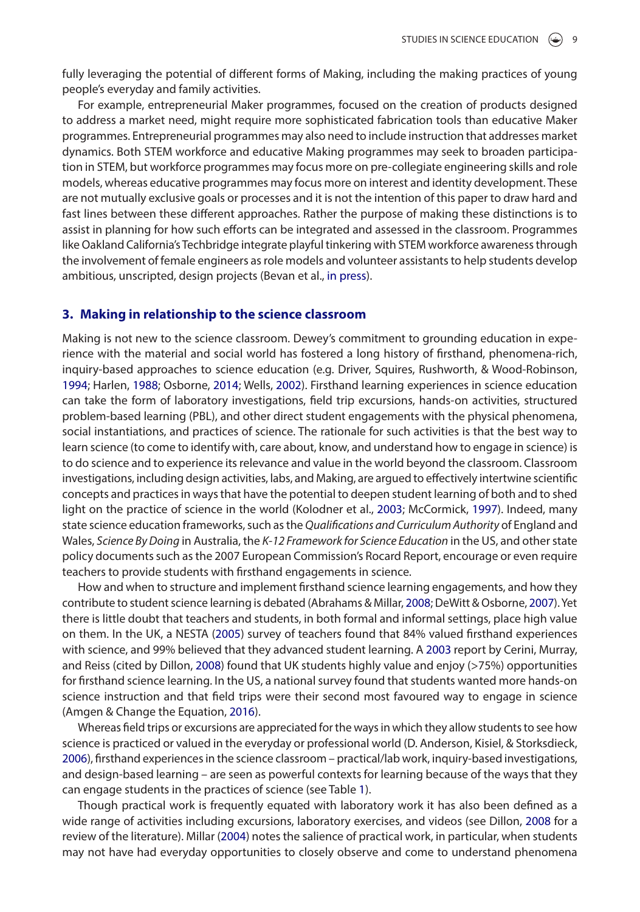fully leveraging the potential of different forms of Making, including the making practices of young people's everyday and family activities.

For example, entrepreneurial Maker programmes, focused on the creation of products designed to address a market need, might require more sophisticated fabrication tools than educative Maker programmes. Entrepreneurial programmes may also need to include instruction that addresses market dynamics. Both STEM workforce and educative Making programmes may seek to broaden participation in STEM, but workforce programmes may focus more on pre-collegiate engineering skills and role models, whereas educative programmes may focus more on interest and identity development. These are not mutually exclusive goals or processes and it is not the intention of this paper to draw hard and fast lines between these different approaches. Rather the purpose of making these distinctions is to assist in planning for how such efforts can be integrated and assessed in the classroom. Programmes like Oakland California's Techbridge integrate playful tinkering with STEM workforce awareness through the involvement of female engineers as role models and volunteer assistants to help students develop ambitious, unscripted, design projects (Bevan et al., [in press](#page-26-11)).

#### **3. Making in relationship to the science classroom**

<span id="page-9-11"></span><span id="page-9-10"></span><span id="page-9-7"></span><span id="page-9-6"></span>Making is not new to the science classroom. Dewey's commitment to grounding education in experience with the material and social world has fostered a long history of firsthand, phenomena-rich, inquiry-based approaches to science education (e.g. Driver, Squires, Rushworth, & Wood-Robinson, [1994](#page-26-16); Harlen, [1988;](#page-27-16) Osborne, [2014;](#page-28-16) Wells, [2002](#page-29-13)). Firsthand learning experiences in science education can take the form of laboratory investigations, field trip excursions, hands-on activities, structured problem-based learning (PBL), and other direct student engagements with the physical phenomena, social instantiations, and practices of science. The rationale for such activities is that the best way to learn science (to come to identify with, care about, know, and understand how to engage in science) is to do science and to experience its relevance and value in the world beyond the classroom. Classroom investigations, including design activities, labs, and Making, are argued to effectively intertwine scientific concepts and practices in ways that have the potential to deepen student learning of both and to shed light on the practice of science in the world (Kolodner et al., [2003](#page-27-3); McCormick, [1997\)](#page-28-6). Indeed, many state science education frameworks, such as the *Qualifications and Curriculum Authority* of England and Wales, *Science By Doing* in Australia, the *K*-*12 Framework for Science Education* in the US, and other state policy documents such as the 2007 European Commission's Rocard Report, encourage or even require teachers to provide students with firsthand engagements in science.

<span id="page-9-9"></span><span id="page-9-4"></span><span id="page-9-3"></span><span id="page-9-0"></span>How and when to structure and implement firsthand science learning engagements, and how they contribute to student science learning is debated (Abrahams & Millar, [2008;](#page-25-2) DeWitt & Osborne, [2007](#page-26-17)). Yet there is little doubt that teachers and students, in both formal and informal settings, place high value on them. In the UK, a NESTA [\(2005\)](#page-28-17) survey of teachers found that 84% valued firsthand experiences with science, and 99% believed that they advanced student learning. A [2003](#page-26-18) report by Cerini, Murray, and Reiss (cited by Dillon, [2008](#page-26-19)) found that UK students highly value and enjoy (>75%) opportunities for firsthand science learning. In the US, a national survey found that students wanted more hands-on science instruction and that field trips were their second most favoured way to engage in science (Amgen & Change the Equation, [2016](#page-25-3)).

<span id="page-9-5"></span><span id="page-9-2"></span><span id="page-9-1"></span>Whereas field trips or excursions are appreciated for the ways in which they allow students to see how science is practiced or valued in the everyday or professional world (D. Anderson, Kisiel, & Storksdieck, [2006](#page-25-4)), firsthand experiences in the science classroom – practical/lab work, inquiry-based investigations, and design-based learning – are seen as powerful contexts for learning because of the ways that they can engage students in the practices of science (see Table [1\)](#page-10-0).

<span id="page-9-8"></span>Though practical work is frequently equated with laboratory work it has also been defined as a wide range of activities including excursions, laboratory exercises, and videos (see Dillon, [2008](#page-26-19) for a review of the literature). Millar [\(2004\)](#page-28-18) notes the salience of practical work, in particular, when students may not have had everyday opportunities to closely observe and come to understand phenomena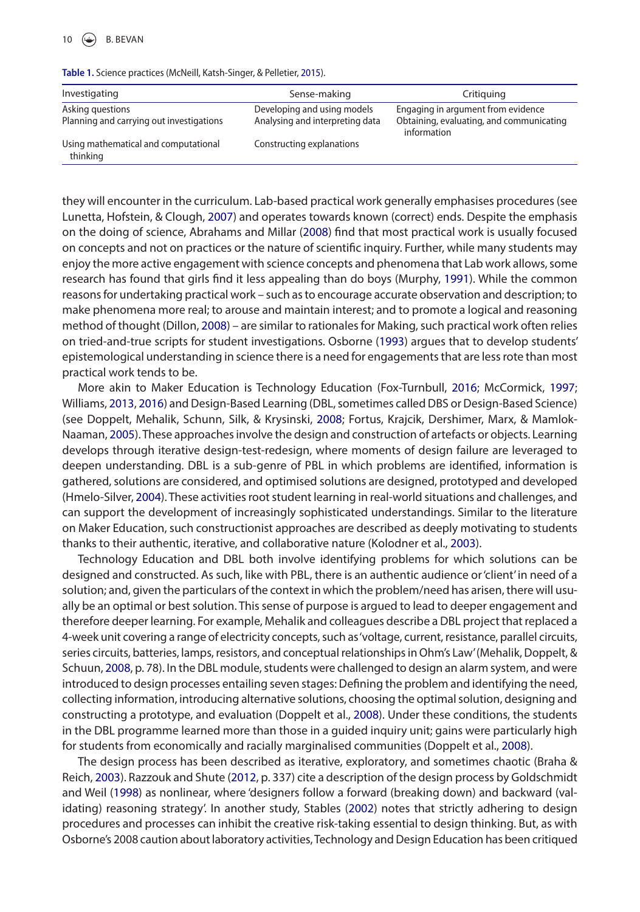<span id="page-10-8"></span><span id="page-10-0"></span>**Table 1.** Science practices (McNeill, Katsh-Singer, & Pelletier, [2015](#page-28-23)).

| Investigating                                                | Sense-making                                                   | Critiquing                                                                                    |
|--------------------------------------------------------------|----------------------------------------------------------------|-----------------------------------------------------------------------------------------------|
| Asking questions<br>Planning and carrying out investigations | Developing and using models<br>Analysing and interpreting data | Engaging in argument from evidence<br>Obtaining, evaluating, and communicating<br>information |
| Using mathematical and computational<br>thinking             | Constructing explanations                                      |                                                                                               |

<span id="page-10-10"></span><span id="page-10-7"></span>they will encounter in the curriculum. Lab-based practical work generally emphasises procedures (see Lunetta, Hofstein, & Clough, [2007\)](#page-27-17) and operates towards known (correct) ends. Despite the emphasis on the doing of science, Abrahams and Millar ([2008](#page-25-2)) find that most practical work is usually focused on concepts and not on practices or the nature of scientific inquiry. Further, while many students may enjoy the more active engagement with science concepts and phenomena that Lab work allows, some research has found that girls find it less appealing than do boys (Murphy, [1991\)](#page-28-19). While the common reasons for undertaking practical work – such as to encourage accurate observation and description; to make phenomena more real; to arouse and maintain interest; and to promote a logical and reasoning method of thought (Dillon, [2008\)](#page-26-19) – are similar to rationales for Making, such practical work often relies on tried-and-true scripts for student investigations. Osborne [\(1993\)](#page-28-20) argues that to develop students' epistemological understanding in science there is a need for engagements that are less rote than most practical work tends to be.

<span id="page-10-15"></span><span id="page-10-14"></span><span id="page-10-11"></span><span id="page-10-4"></span><span id="page-10-3"></span><span id="page-10-2"></span>More akin to Maker Education is Technology Education (Fox-Turnbull, [2016;](#page-27-18) McCormick, [1997](#page-28-6); Williams, [2013](#page-29-14), [2016](#page-29-15)) and Design-Based Learning (DBL, sometimes called DBS or Design-Based Science) (see Doppelt, Mehalik, Schunn, Silk, & Krysinski, [2008;](#page-26-20) Fortus, Krajcik, Dershimer, Marx, & Mamlok-Naaman, [2005\)](#page-27-19). These approaches involve the design and construction of artefacts or objects. Learning develops through iterative design-test-redesign, where moments of design failure are leveraged to deepen understanding. DBL is a sub-genre of PBL in which problems are identified, information is gathered, solutions are considered, and optimised solutions are designed, prototyped and developed (Hmelo-Silver, [2004](#page-27-20)). These activities root student learning in real-world situations and challenges, and can support the development of increasingly sophisticated understandings. Similar to the literature on Maker Education, such constructionist approaches are described as deeply motivating to students thanks to their authentic, iterative, and collaborative nature (Kolodner et al., [2003\)](#page-27-3).

<span id="page-10-6"></span>Technology Education and DBL both involve identifying problems for which solutions can be designed and constructed. As such, like with PBL, there is an authentic audience or 'client' in need of a solution; and, given the particulars of the context in which the problem/need has arisen, there will usually be an optimal or best solution. This sense of purpose is argued to lead to deeper engagement and therefore deeper learning. For example, Mehalik and colleagues describe a DBL project that replaced a 4-week unit covering a range of electricity concepts, such as 'voltage, current, resistance, parallel circuits, series circuits, batteries, lamps, resistors, and conceptual relationships in Ohm's Law' (Mehalik, Doppelt, & Schuun, [2008,](#page-28-21) p. 78). In the DBL module, students were challenged to design an alarm system, and were introduced to design processes entailing seven stages: Defining the problem and identifying the need, collecting information, introducing alternative solutions, choosing the optimal solution, designing and constructing a prototype, and evaluation (Doppelt et al., [2008](#page-26-20)). Under these conditions, the students in the DBL programme learned more than those in a guided inquiry unit; gains were particularly high for students from economically and racially marginalised communities (Doppelt et al., [2008](#page-26-20)).

<span id="page-10-13"></span><span id="page-10-12"></span><span id="page-10-9"></span><span id="page-10-5"></span><span id="page-10-1"></span>The design process has been described as iterative, exploratory, and sometimes chaotic (Braha & Reich, [2003\)](#page-26-21). Razzouk and Shute [\(2012,](#page-28-22) p. 337) cite a description of the design process by Goldschmidt and Weil [\(1998\)](#page-27-21) as nonlinear, where 'designers follow a forward (breaking down) and backward (validating) reasoning strategy'. In another study, Stables ([2002](#page-29-16)) notes that strictly adhering to design procedures and processes can inhibit the creative risk-taking essential to design thinking. But, as with Osborne's 2008 caution about laboratory activities, Technology and Design Education has been critiqued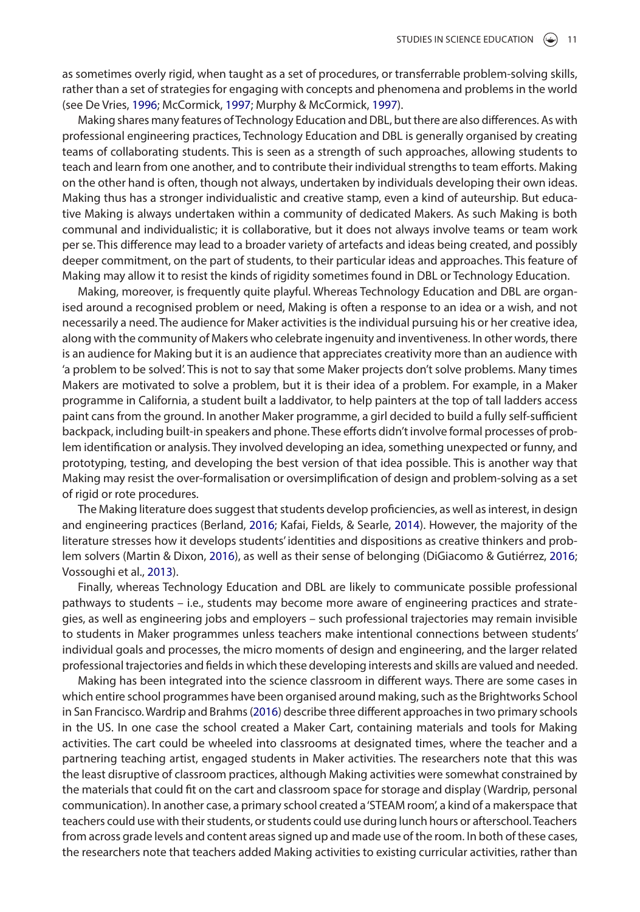as sometimes overly rigid, when taught as a set of procedures, or transferrable problem-solving skills, rather than a set of strategies for engaging with concepts and phenomena and problems in the world (see De Vries, [1996](#page-26-22); McCormick, [1997](#page-28-6); Murphy & McCormick, [1997](#page-28-24)).

<span id="page-11-2"></span><span id="page-11-0"></span>Making shares many features of Technology Education and DBL, but there are also differences. As with professional engineering practices, Technology Education and DBL is generally organised by creating teams of collaborating students. This is seen as a strength of such approaches, allowing students to teach and learn from one another, and to contribute their individual strengths to team efforts. Making on the other hand is often, though not always, undertaken by individuals developing their own ideas. Making thus has a stronger individualistic and creative stamp, even a kind of auteurship. But educative Making is always undertaken within a community of dedicated Makers. As such Making is both communal and individualistic; it is collaborative, but it does not always involve teams or team work per se. This difference may lead to a broader variety of artefacts and ideas being created, and possibly deeper commitment, on the part of students, to their particular ideas and approaches. This feature of Making may allow it to resist the kinds of rigidity sometimes found in DBL or Technology Education.

Making, moreover, is frequently quite playful. Whereas Technology Education and DBL are organised around a recognised problem or need, Making is often a response to an idea or a wish, and not necessarily a need. The audience for Maker activities is the individual pursuing his or her creative idea, along with the community of Makers who celebrate ingenuity and inventiveness. In other words, there is an audience for Making but it is an audience that appreciates creativity more than an audience with 'a problem to be solved'. This is not to say that some Maker projects don't solve problems. Many times Makers are motivated to solve a problem, but it is their idea of a problem. For example, in a Maker programme in California, a student built a laddivator, to help painters at the top of tall ladders access paint cans from the ground. In another Maker programme, a girl decided to build a fully self-sufficient backpack, including built-in speakers and phone. These efforts didn't involve formal processes of problem identification or analysis. They involved developing an idea, something unexpected or funny, and prototyping, testing, and developing the best version of that idea possible. This is another way that Making may resist the over-formalisation or oversimplification of design and problem-solving as a set of rigid or rote procedures.

<span id="page-11-1"></span>The Making literature does suggest that students develop proficiencies, as well as interest, in design and engineering practices (Berland, [2016;](#page-26-14) Kafai, Fields, & Searle, [2014\)](#page-27-22). However, the majority of the literature stresses how it develops students' identities and dispositions as creative thinkers and problem solvers (Martin & Dixon, [2016\)](#page-28-1), as well as their sense of belonging (DiGiacomo & Gutiérrez, [2016](#page-26-12); Vossoughi et al., [2013](#page-29-11)).

Finally, whereas Technology Education and DBL are likely to communicate possible professional pathways to students – i.e., students may become more aware of engineering practices and strategies, as well as engineering jobs and employers – such professional trajectories may remain invisible to students in Maker programmes unless teachers make intentional connections between students' individual goals and processes, the micro moments of design and engineering, and the larger related professional trajectories and fields in which these developing interests and skills are valued and needed.

<span id="page-11-3"></span>Making has been integrated into the science classroom in different ways. There are some cases in which entire school programmes have been organised around making, such as the Brightworks School in San Francisco. Wardrip and Brahms [\(2016](#page-29-17)) describe three different approaches in two primary schools in the US. In one case the school created a Maker Cart, containing materials and tools for Making activities. The cart could be wheeled into classrooms at designated times, where the teacher and a partnering teaching artist, engaged students in Maker activities. The researchers note that this was the least disruptive of classroom practices, although Making activities were somewhat constrained by the materials that could fit on the cart and classroom space for storage and display (Wardrip, personal communication). In another case, a primary school created a 'STEAM room', a kind of a makerspace that teachers could use with their students, or students could use during lunch hours or afterschool. Teachers from across grade levels and content areas signed up and made use of the room. In both of these cases, the researchers note that teachers added Making activities to existing curricular activities, rather than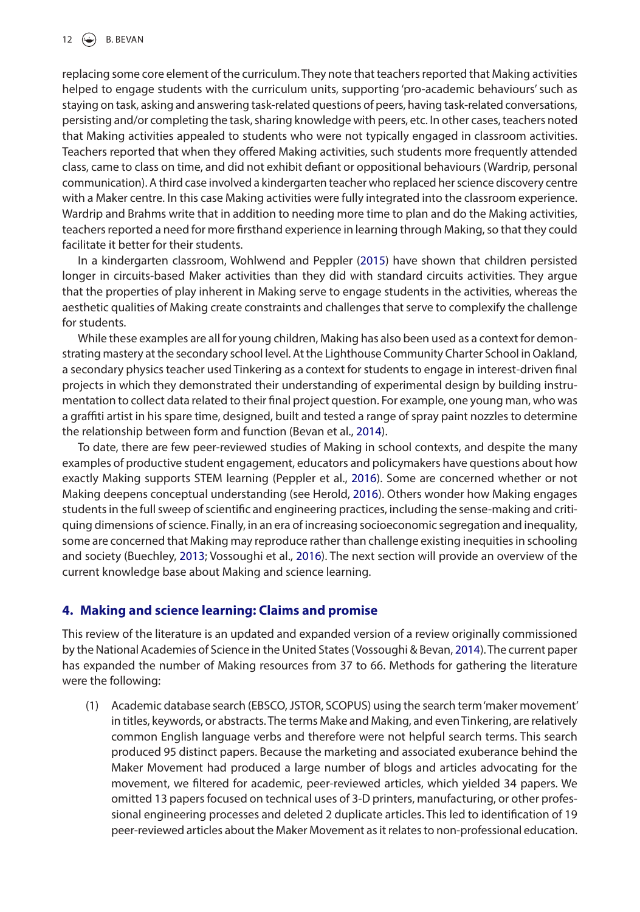replacing some core element of the curriculum. They note that teachers reported that Making activities helped to engage students with the curriculum units, supporting 'pro-academic behaviours' such as staying on task, asking and answering task-related questions of peers, having task-related conversations, persisting and/or completing the task, sharing knowledge with peers, etc. In other cases, teachers noted that Making activities appealed to students who were not typically engaged in classroom activities. Teachers reported that when they offered Making activities, such students more frequently attended class, came to class on time, and did not exhibit defiant or oppositional behaviours (Wardrip, personal communication). A third case involved a kindergarten teacher who replaced her science discovery centre with a Maker centre. In this case Making activities were fully integrated into the classroom experience. Wardrip and Brahms write that in addition to needing more time to plan and do the Making activities, teachers reported a need for more firsthand experience in learning through Making, so that they could facilitate it better for their students.

<span id="page-12-0"></span>In a kindergarten classroom, Wohlwend and Peppler ([2015](#page-29-18)) have shown that children persisted longer in circuits-based Maker activities than they did with standard circuits activities. They argue that the properties of play inherent in Making serve to engage students in the activities, whereas the aesthetic qualities of Making create constraints and challenges that serve to complexify the challenge for students.

While these examples are all for young children, Making has also been used as a context for demonstrating mastery at the secondary school level. At the Lighthouse Community Charter School in Oakland, a secondary physics teacher used Tinkering as a context for students to engage in interest-driven final projects in which they demonstrated their understanding of experimental design by building instrumentation to collect data related to their final project question. For example, one young man, who was a graffiti artist in his spare time, designed, built and tested a range of spray paint nozzles to determine the relationship between form and function (Bevan et al., [2014](#page-26-15)).

To date, there are few peer-reviewed studies of Making in school contexts, and despite the many examples of productive student engagement, educators and policymakers have questions about how exactly Making supports STEM learning (Peppler et al., [2016](#page-28-4)). Some are concerned whether or not Making deepens conceptual understanding (see Herold, [2016\)](#page-27-6). Others wonder how Making engages students in the full sweep of scientific and engineering practices, including the sense-making and critiquing dimensions of science. Finally, in an era of increasing socioeconomic segregation and inequality, some are concerned that Making may reproduce rather than challenge existing inequities in schooling and society (Buechley, [2013;](#page-26-5) Vossoughi et al., [2016\)](#page-29-3). The next section will provide an overview of the current knowledge base about Making and science learning.

#### **4. Making and science learning: Claims and promise**

This review of the literature is an updated and expanded version of a review originally commissioned by the National Academies of Science in the United States (Vossoughi & Bevan, [2014](#page-29-7)). The current paper has expanded the number of Making resources from 37 to 66. Methods for gathering the literature were the following:

(1) Academic database search (EBSCO, JSTOR, SCOPUS) using the search term 'maker movement' in titles, keywords, or abstracts. The terms Make and Making, and even Tinkering, are relatively common English language verbs and therefore were not helpful search terms. This search produced 95 distinct papers. Because the marketing and associated exuberance behind the Maker Movement had produced a large number of blogs and articles advocating for the movement, we filtered for academic, peer-reviewed articles, which yielded 34 papers. We omitted 13 papers focused on technical uses of 3-D printers, manufacturing, or other professional engineering processes and deleted 2 duplicate articles. This led to identification of 19 peer-reviewed articles about the Maker Movement as it relates to non-professional education.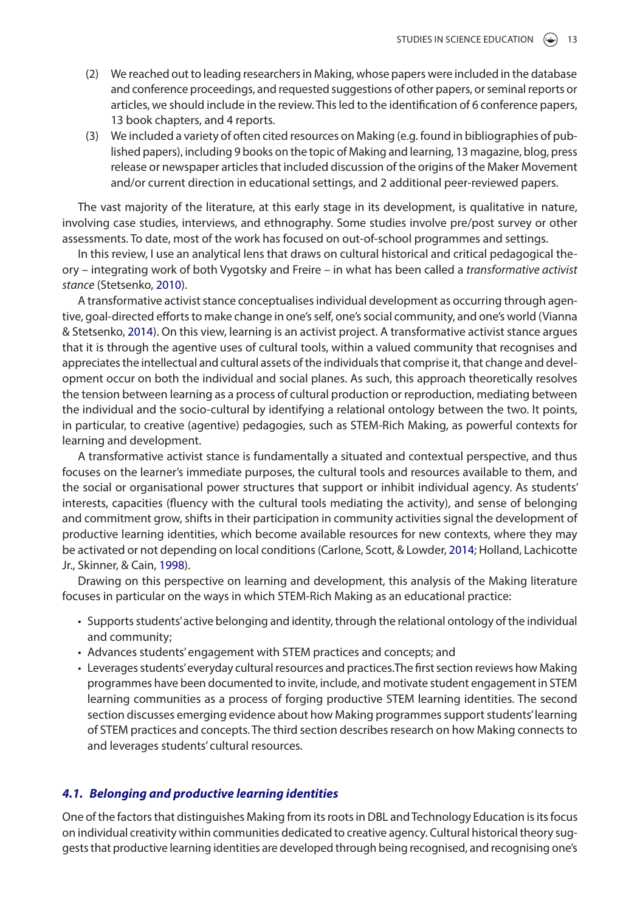- (2) We reached out to leading researchers in Making, whose papers were included in the database and conference proceedings, and requested suggestions of other papers, or seminal reports or articles, we should include in the review. This led to the identification of 6 conference papers, 13 book chapters, and 4 reports.
- (3) We included a variety of often cited resources on Making (e.g. found in bibliographies of published papers), including 9 books on the topic of Making and learning, 13 magazine, blog, press release or newspaper articles that included discussion of the origins of the Maker Movement and/or current direction in educational settings, and 2 additional peer-reviewed papers.

The vast majority of the literature, at this early stage in its development, is qualitative in nature, involving case studies, interviews, and ethnography. Some studies involve pre/post survey or other assessments. To date, most of the work has focused on out-of-school programmes and settings.

In this review, I use an analytical lens that draws on cultural historical and critical pedagogical theory – integrating work of both Vygotsky and Freire – in what has been called a *transformative activist stance* (Stetsenko, [2010\)](#page-29-19).

<span id="page-13-3"></span><span id="page-13-2"></span>A transformative activist stance conceptualises individual development as occurring through agentive, goal-directed efforts to make change in one's self, one's social community, and one's world (Vianna & Stetsenko, [2014\)](#page-29-20). On this view, learning is an activist project. A transformative activist stance argues that it is through the agentive uses of cultural tools, within a valued community that recognises and appreciates the intellectual and cultural assets of the individuals that comprise it, that change and development occur on both the individual and social planes. As such, this approach theoretically resolves the tension between learning as a process of cultural production or reproduction, mediating between the individual and the socio-cultural by identifying a relational ontology between the two. It points, in particular, to creative (agentive) pedagogies, such as STEM-Rich Making, as powerful contexts for learning and development.

A transformative activist stance is fundamentally a situated and contextual perspective, and thus focuses on the learner's immediate purposes, the cultural tools and resources available to them, and the social or organisational power structures that support or inhibit individual agency. As students' interests, capacities (fluency with the cultural tools mediating the activity), and sense of belonging and commitment grow, shifts in their participation in community activities signal the development of productive learning identities, which become available resources for new contexts, where they may be activated or not depending on local conditions (Carlone, Scott, & Lowder, [2014;](#page-26-23) Holland, Lachicotte Jr., Skinner, & Cain, [1998](#page-27-23)).

Drawing on this perspective on learning and development, this analysis of the Making literature focuses in particular on the ways in which STEM-Rich Making as an educational practice:

- <span id="page-13-1"></span><span id="page-13-0"></span>• Supports students' active belonging and identity, through the relational ontology of the individual and community;
- Advances students' engagement with STEM practices and concepts; and
- Leverages students' everyday cultural resources and practices.The first section reviews how Making programmes have been documented to invite, include, and motivate student engagement in STEM learning communities as a process of forging productive STEM learning identities. The second section discusses emerging evidence about how Making programmes support students' learning of STEM practices and concepts. The third section describes research on how Making connects to and leverages students' cultural resources.

#### *4.1. Belonging and productive learning identities*

One of the factors that distinguishes Making from its roots in DBL and Technology Education is its focus on individual creativity within communities dedicated to creative agency. Cultural historical theory suggests that productive learning identities are developed through being recognised, and recognising one's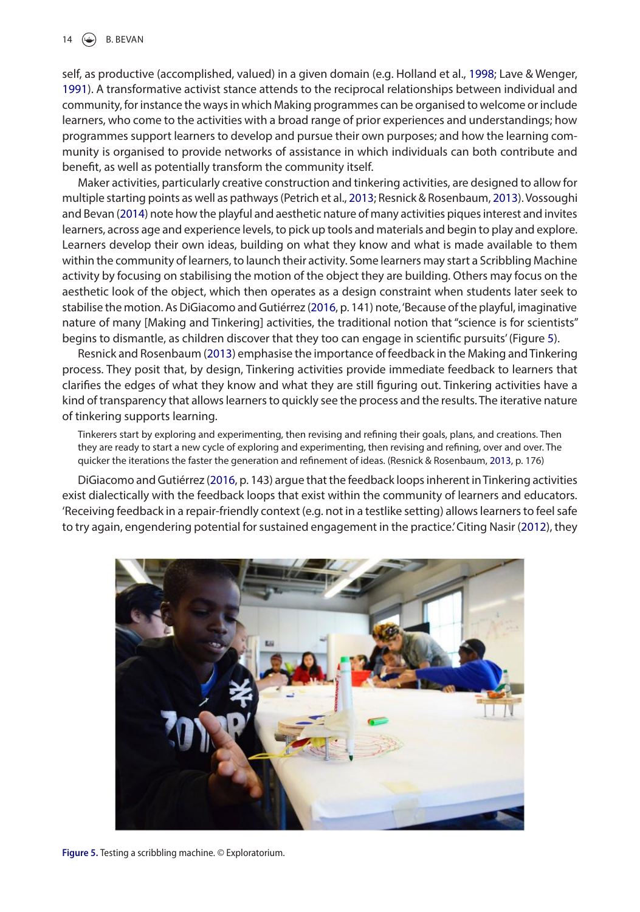self, as productive (accomplished, valued) in a given domain (e.g. Holland et al., [1998](#page-27-23); Lave & Wenger, [1991](#page-27-12)). A transformative activist stance attends to the reciprocal relationships between individual and community, for instance the ways in which Making programmes can be organised to welcome or include learners, who come to the activities with a broad range of prior experiences and understandings; how programmes support learners to develop and pursue their own purposes; and how the learning community is organised to provide networks of assistance in which individuals can both contribute and benefit, as well as potentially transform the community itself.

Maker activities, particularly creative construction and tinkering activities, are designed to allow for multiple starting points as well as pathways (Petrich et al., [2013](#page-28-13); Resnick & Rosenbaum, [2013](#page-28-3)). Vossoughi and Bevan [\(2014\)](#page-29-7) note how the playful and aesthetic nature of many activities piques interest and invites learners, across age and experience levels, to pick up tools and materials and begin to play and explore. Learners develop their own ideas, building on what they know and what is made available to them within the community of learners, to launch their activity. Some learners may start a Scribbling Machine activity by focusing on stabilising the motion of the object they are building. Others may focus on the aesthetic look of the object, which then operates as a design constraint when students later seek to stabilise the motion. As DiGiacomo and Gutiérrez ([2016,](#page-26-12) p. 141) note, 'Because of the playful, imaginative nature of many [Making and Tinkering] activities, the traditional notion that "science is for scientists" begins to dismantle, as children discover that they too can engage in scientific pursuits' (Figure [5](#page-14-0)).

Resnick and Rosenbaum ([2013](#page-28-3)) emphasise the importance of feedback in the Making and Tinkering process. They posit that, by design, Tinkering activities provide immediate feedback to learners that clarifies the edges of what they know and what they are still figuring out. Tinkering activities have a kind of transparency that allows learners to quickly see the process and the results. The iterative nature of tinkering supports learning.

Tinkerers start by exploring and experimenting, then revising and refining their goals, plans, and creations. Then they are ready to start a new cycle of exploring and experimenting, then revising and refining, over and over. The quicker the iterations the faster the generation and refinement of ideas. (Resnick & Rosenbaum, [2013](#page-28-3), p. 176)

DiGiacomo and Gutiérrez ([2016](#page-26-12), p. 143) argue that the feedback loops inherent in Tinkering activities exist dialectically with the feedback loops that exist within the community of learners and educators. 'Receiving feedback in a repair-friendly context (e.g. not in a testlike setting) allows learners to feel safe to try again, engendering potential for sustained engagement in the practice.' Citing Nasir ([2012](#page-28-7)), they

<span id="page-14-0"></span>

**Figure 5.** Testing a scribbling machine. © Exploratorium.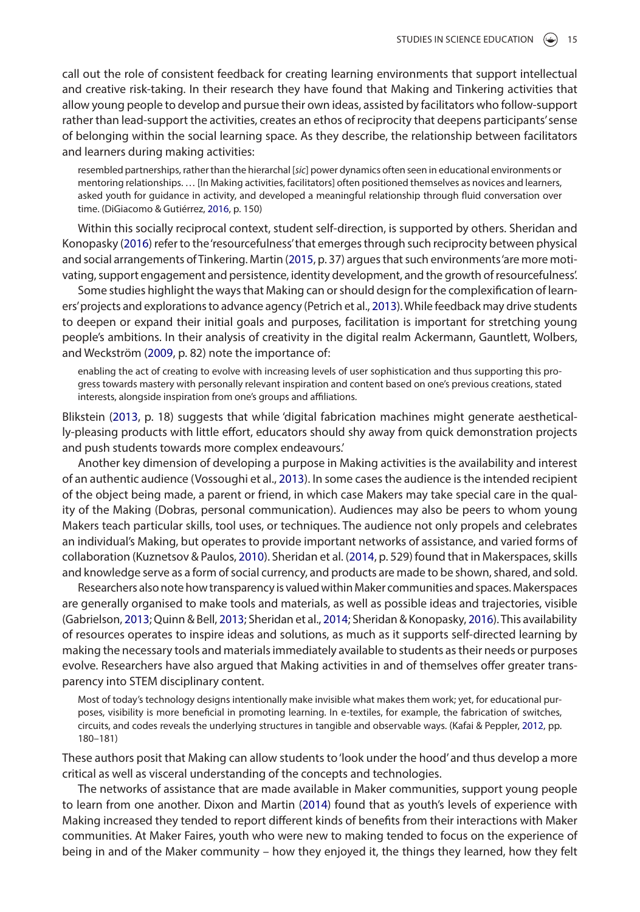call out the role of consistent feedback for creating learning environments that support intellectual and creative risk-taking. In their research they have found that Making and Tinkering activities that allow young people to develop and pursue their own ideas, assisted by facilitators who follow-support rather than lead-support the activities, creates an ethos of reciprocity that deepens participants' sense of belonging within the social learning space. As they describe, the relationship between facilitators and learners during making activities:

resembled partnerships, rather than the hierarchal [*sic*] power dynamics often seen in educational environments or mentoring relationships. … [In Making activities, facilitators] often positioned themselves as novices and learners, asked youth for guidance in activity, and developed a meaningful relationship through fluid conversation over time. (DiGiacomo & Gutiérrez, [2016,](#page-26-12) p. 150)

<span id="page-15-4"></span>Within this socially reciprocal context, student self-direction, is supported by others. Sheridan and Konopasky [\(2016\)](#page-29-21) refer to the 'resourcefulness' that emerges through such reciprocity between physical and social arrangements of Tinkering. Martin ([2015,](#page-28-10) p. 37) argues that such environments 'are more motivating, support engagement and persistence, identity development, and the growth of resourcefulness'.

Some studies highlight the ways that Making can or should design for the complexification of learners' projects and explorations to advance agency (Petrich et al., [2013\)](#page-28-13). While feedback may drive students to deepen or expand their initial goals and purposes, facilitation is important for stretching young people's ambitions. In their analysis of creativity in the digital realm Ackermann, Gauntlett, Wolbers, and Weckström ([2009](#page-25-5), p. 82) note the importance of:

<span id="page-15-0"></span>enabling the act of creating to evolve with increasing levels of user sophistication and thus supporting this progress towards mastery with personally relevant inspiration and content based on one's previous creations, stated interests, alongside inspiration from one's groups and affiliations.

Blikstein ([2013](#page-26-4), p. 18) suggests that while 'digital fabrication machines might generate aesthetically-pleasing products with little effort, educators should shy away from quick demonstration projects and push students towards more complex endeavours.'

Another key dimension of developing a purpose in Making activities is the availability and interest of an authentic audience (Vossoughi et al., [2013\)](#page-29-11). In some cases the audience is the intended recipient of the object being made, a parent or friend, in which case Makers may take special care in the quality of the Making (Dobras, personal communication). Audiences may also be peers to whom young Makers teach particular skills, tool uses, or techniques. The audience not only propels and celebrates an individual's Making, but operates to provide important networks of assistance, and varied forms of collaboration (Kuznetsov & Paulos, [2010\)](#page-27-24). Sheridan et al. [\(2014,](#page-29-8) p. 529) found that in Makerspaces, skills and knowledge serve as a form of social currency, and products are made to be shown, shared, and sold.

<span id="page-15-3"></span><span id="page-15-1"></span>Researchers also note how transparency is valued within Maker communities and spaces. Makerspaces are generally organised to make tools and materials, as well as possible ideas and trajectories, visible (Gabrielson, [2013](#page-27-25); Quinn & Bell, [2013](#page-28-15); Sheridan et al., [2014;](#page-29-8) Sheridan & Konopasky, [2016\)](#page-29-21). This availability of resources operates to inspire ideas and solutions, as much as it supports self-directed learning by making the necessary tools and materials immediately available to students as their needs or purposes evolve. Researchers have also argued that Making activities in and of themselves offer greater transparency into STEM disciplinary content.

<span id="page-15-2"></span>Most of today's technology designs intentionally make invisible what makes them work; yet, for educational purposes, visibility is more beneficial in promoting learning. In e-textiles, for example, the fabrication of switches, circuits, and codes reveals the underlying structures in tangible and observable ways. (Kafai & Peppler, [2012](#page-27-26), pp. 180–181)

These authors posit that Making can allow students to 'look under the hood' and thus develop a more critical as well as visceral understanding of the concepts and technologies.

The networks of assistance that are made available in Maker communities, support young people to learn from one another. Dixon and Martin [\(2014\)](#page-26-1) found that as youth's levels of experience with Making increased they tended to report different kinds of benefits from their interactions with Maker communities. At Maker Faires, youth who were new to making tended to focus on the experience of being in and of the Maker community – how they enjoyed it, the things they learned, how they felt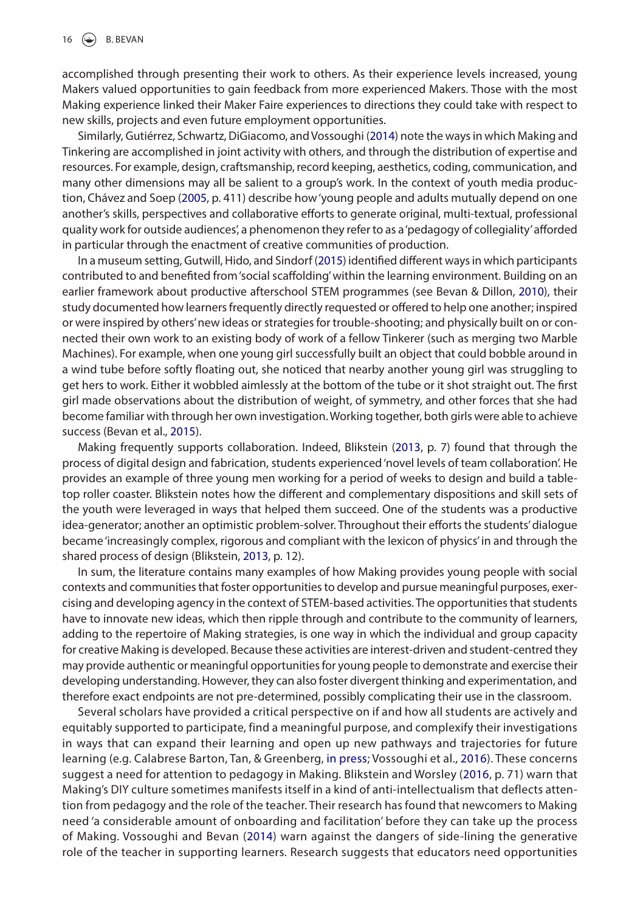accomplished through presenting their work to others. As their experience levels increased, young Makers valued opportunities to gain feedback from more experienced Makers. Those with the most Making experience linked their Maker Faire experiences to directions they could take with respect to new skills, projects and even future employment opportunities.

<span id="page-16-3"></span><span id="page-16-2"></span>Similarly, Gutiérrez, Schwartz, DiGiacomo, and Vossoughi [\(2014](#page-27-27)) note the ways in which Making and Tinkering are accomplished in joint activity with others, and through the distribution of expertise and resources. For example, design, craftsmanship, record keeping, aesthetics, coding, communication, and many other dimensions may all be salient to a group's work. In the context of youth media production, Chávez and Soep ([2005](#page-26-24), p. 411) describe how 'young people and adults mutually depend on one another's skills, perspectives and collaborative efforts to generate original, multi-textual, professional quality work for outside audiences', a phenomenon they refer to as a 'pedagogy of collegiality' afforded in particular through the enactment of creative communities of production.

<span id="page-16-4"></span><span id="page-16-0"></span>In a museum setting, Gutwill, Hido, and Sindorf [\(2015](#page-27-28)) identified different ways in which participants contributed to and benefited from 'social scaffolding' within the learning environment. Building on an earlier framework about productive afterschool STEM programmes (see Bevan & Dillon, [2010](#page-26-25)), their study documented how learners frequently directly requested or offered to help one another; inspired or were inspired by others' new ideas or strategies for trouble-shooting; and physically built on or connected their own work to an existing body of work of a fellow Tinkerer (such as merging two Marble Machines). For example, when one young girl successfully built an object that could bobble around in a wind tube before softly floating out, she noticed that nearby another young girl was struggling to get hers to work. Either it wobbled aimlessly at the bottom of the tube or it shot straight out. The first girl made observations about the distribution of weight, of symmetry, and other forces that she had become familiar with through her own investigation. Working together, both girls were able to achieve success (Bevan et al., [2015\)](#page-26-8).

Making frequently supports collaboration. Indeed, Blikstein ([2013](#page-26-4), p. 7) found that through the process of digital design and fabrication, students experienced 'novel levels of team collaboration'. He provides an example of three young men working for a period of weeks to design and build a tabletop roller coaster. Blikstein notes how the different and complementary dispositions and skill sets of the youth were leveraged in ways that helped them succeed. One of the students was a productive idea-generator; another an optimistic problem-solver. Throughout their efforts the students' dialogue became 'increasingly complex, rigorous and compliant with the lexicon of physics' in and through the shared process of design (Blikstein, [2013,](#page-26-4) p. 12).

In sum, the literature contains many examples of how Making provides young people with social contexts and communities that foster opportunities to develop and pursue meaningful purposes, exercising and developing agency in the context of STEM-based activities. The opportunities that students have to innovate new ideas, which then ripple through and contribute to the community of learners, adding to the repertoire of Making strategies, is one way in which the individual and group capacity for creative Making is developed. Because these activities are interest-driven and student-centred they may provide authentic or meaningful opportunities for young people to demonstrate and exercise their developing understanding. However, they can also foster divergent thinking and experimentation, and therefore exact endpoints are not pre-determined, possibly complicating their use in the classroom.

<span id="page-16-1"></span>Several scholars have provided a critical perspective on if and how all students are actively and equitably supported to participate, find a meaningful purpose, and complexify their investigations in ways that can expand their learning and open up new pathways and trajectories for future learning (e.g. Calabrese Barton, Tan, & Greenberg, [in press](#page-26-26); Vossoughi et al., [2016](#page-29-3)). These concerns suggest a need for attention to pedagogy in Making. Blikstein and Worsley ([2016](#page-26-2), p. 71) warn that Making's DIY culture sometimes manifests itself in a kind of anti-intellectualism that deflects attention from pedagogy and the role of the teacher. Their research has found that newcomers to Making need 'a considerable amount of onboarding and facilitation' before they can take up the process of Making. Vossoughi and Bevan [\(2014\)](#page-29-7) warn against the dangers of side-lining the generative role of the teacher in supporting learners. Research suggests that educators need opportunities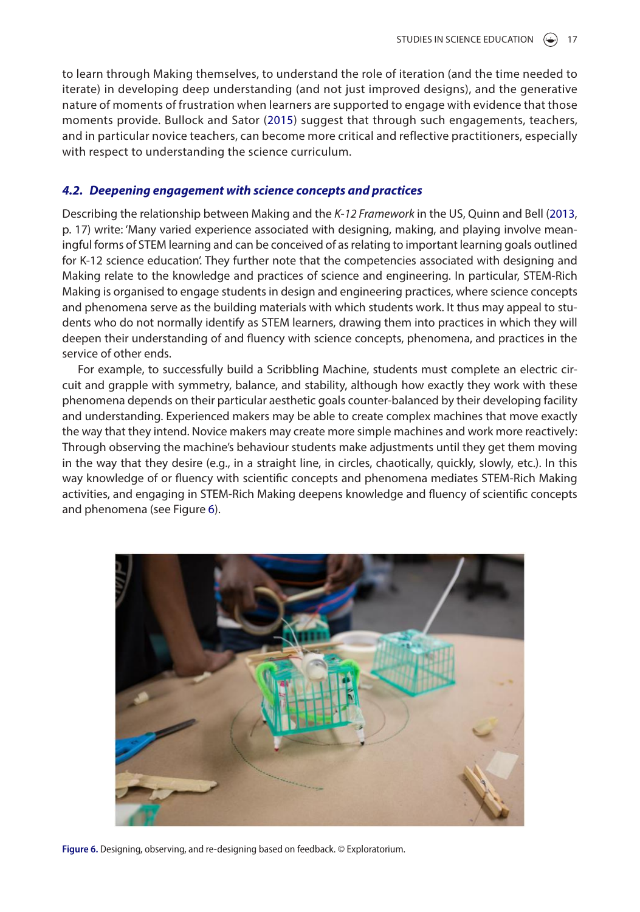to learn through Making themselves, to understand the role of iteration (and the time needed to iterate) in developing deep understanding (and not just improved designs), and the generative nature of moments of frustration when learners are supported to engage with evidence that those moments provide. Bullock and Sator ([2015](#page-26-0)) suggest that through such engagements, teachers, and in particular novice teachers, can become more critical and reflective practitioners, especially with respect to understanding the science curriculum.

#### *4.2. Deepening engagement with science concepts and practices*

Describing the relationship between Making and the *K*-*12 Framework* in the US, Quinn and Bell ([2013](#page-28-15), p. 17) write: 'Many varied experience associated with designing, making, and playing involve meaningful forms of STEM learning and can be conceived of as relating to important learning goals outlined for K-12 science education'. They further note that the competencies associated with designing and Making relate to the knowledge and practices of science and engineering. In particular, STEM-Rich Making is organised to engage students in design and engineering practices, where science concepts and phenomena serve as the building materials with which students work. It thus may appeal to students who do not normally identify as STEM learners, drawing them into practices in which they will deepen their understanding of and fluency with science concepts, phenomena, and practices in the service of other ends.

For example, to successfully build a Scribbling Machine, students must complete an electric circuit and grapple with symmetry, balance, and stability, although how exactly they work with these phenomena depends on their particular aesthetic goals counter-balanced by their developing facility and understanding. Experienced makers may be able to create complex machines that move exactly the way that they intend. Novice makers may create more simple machines and work more reactively: Through observing the machine's behaviour students make adjustments until they get them moving in the way that they desire (e.g., in a straight line, in circles, chaotically, quickly, slowly, etc.). In this way knowledge of or fluency with scientific concepts and phenomena mediates STEM-Rich Making activities, and engaging in STEM-Rich Making deepens knowledge and fluency of scientific concepts and phenomena (see Figure [6](#page-17-0)).

<span id="page-17-0"></span>

**Figure 6.** Designing, observing, and re-designing based on feedback. © Exploratorium.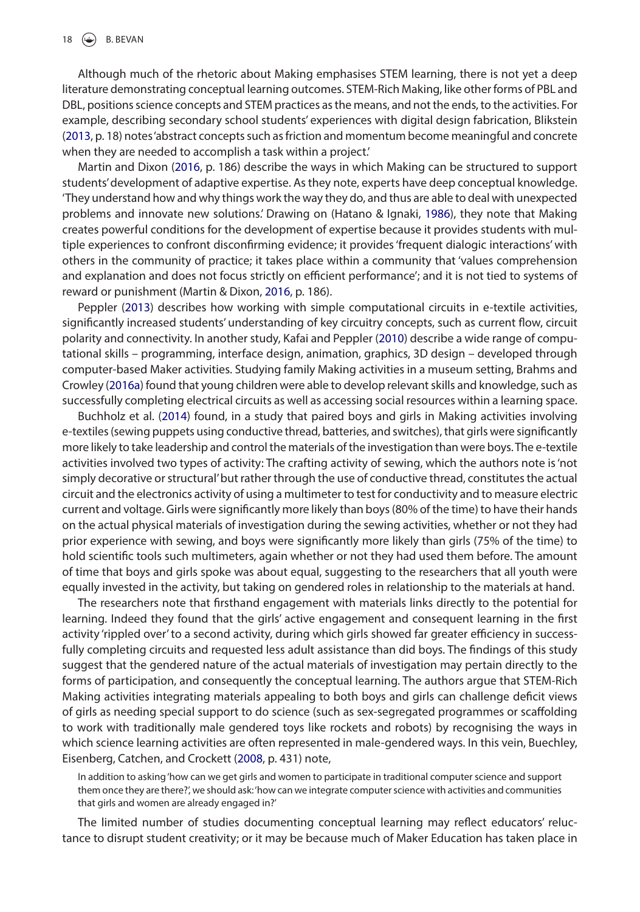Although much of the rhetoric about Making emphasises STEM learning, there is not yet a deep literature demonstrating conceptual learning outcomes. STEM-Rich Making, like other forms of PBL and DBL, positions science concepts and STEM practices as the means, and not the ends, to the activities. For example, describing secondary school students' experiences with digital design fabrication, Blikstein ([2013,](#page-26-4) p. 18) notes 'abstract concepts such as friction and momentum become meaningful and concrete when they are needed to accomplish a task within a project.'

<span id="page-18-1"></span>Martin and Dixon ([2016](#page-28-1), p. 186) describe the ways in which Making can be structured to support students' development of adaptive expertise. As they note, experts have deep conceptual knowledge. 'They understand how and why things work the way they do, and thus are able to deal with unexpected problems and innovate new solutions.' Drawing on (Hatano & Ignaki, [1986](#page-27-29)), they note that Making creates powerful conditions for the development of expertise because it provides students with multiple experiences to confront disconfirming evidence; it provides 'frequent dialogic interactions' with others in the community of practice; it takes place within a community that 'values comprehension and explanation and does not focus strictly on efficient performance'; and it is not tied to systems of reward or punishment (Martin & Dixon, [2016,](#page-28-1) p. 186).

<span id="page-18-3"></span><span id="page-18-2"></span>Peppler [\(2013\)](#page-28-25) describes how working with simple computational circuits in e-textile activities, significantly increased students' understanding of key circuitry concepts, such as current flow, circuit polarity and connectivity. In another study, Kafai and Peppler [\(2010\)](#page-27-30) describe a wide range of computational skills – programming, interface design, animation, graphics, 3D design – developed through computer-based Maker activities. Studying family Making activities in a museum setting, Brahms and Crowley [\(2016a](#page-26-7)) found that young children were able to develop relevant skills and knowledge, such as successfully completing electrical circuits as well as accessing social resources within a learning space.

Buchholz et al. ([2014](#page-26-3)) found, in a study that paired boys and girls in Making activities involving e-textiles (sewing puppets using conductive thread, batteries, and switches), that girls were significantly more likely to take leadership and control the materials of the investigation than were boys. The e-textile activities involved two types of activity: The crafting activity of sewing, which the authors note is 'not simply decorative or structural' but rather through the use of conductive thread, constitutes the actual circuit and the electronics activity of using a multimeter to test for conductivity and to measure electric current and voltage. Girls were significantly more likely than boys (80% of the time) to have their hands on the actual physical materials of investigation during the sewing activities, whether or not they had prior experience with sewing, and boys were significantly more likely than girls (75% of the time) to hold scientific tools such multimeters, again whether or not they had used them before. The amount of time that boys and girls spoke was about equal, suggesting to the researchers that all youth were equally invested in the activity, but taking on gendered roles in relationship to the materials at hand.

The researchers note that firsthand engagement with materials links directly to the potential for learning. Indeed they found that the girls' active engagement and consequent learning in the first activity 'rippled over' to a second activity, during which girls showed far greater efficiency in successfully completing circuits and requested less adult assistance than did boys. The findings of this study suggest that the gendered nature of the actual materials of investigation may pertain directly to the forms of participation, and consequently the conceptual learning. The authors argue that STEM-Rich Making activities integrating materials appealing to both boys and girls can challenge deficit views of girls as needing special support to do science (such as sex-segregated programmes or scaffolding to work with traditionally male gendered toys like rockets and robots) by recognising the ways in which science learning activities are often represented in male-gendered ways. In this vein, Buechley, Eisenberg, Catchen, and Crockett [\(2008,](#page-26-27) p. 431) note,

<span id="page-18-0"></span>In addition to asking 'how can we get girls and women to participate in traditional computer science and support them once they are there?', we should ask: 'how can we integrate computer science with activities and communities that girls and women are already engaged in?'

The limited number of studies documenting conceptual learning may reflect educators' reluctance to disrupt student creativity; or it may be because much of Maker Education has taken place in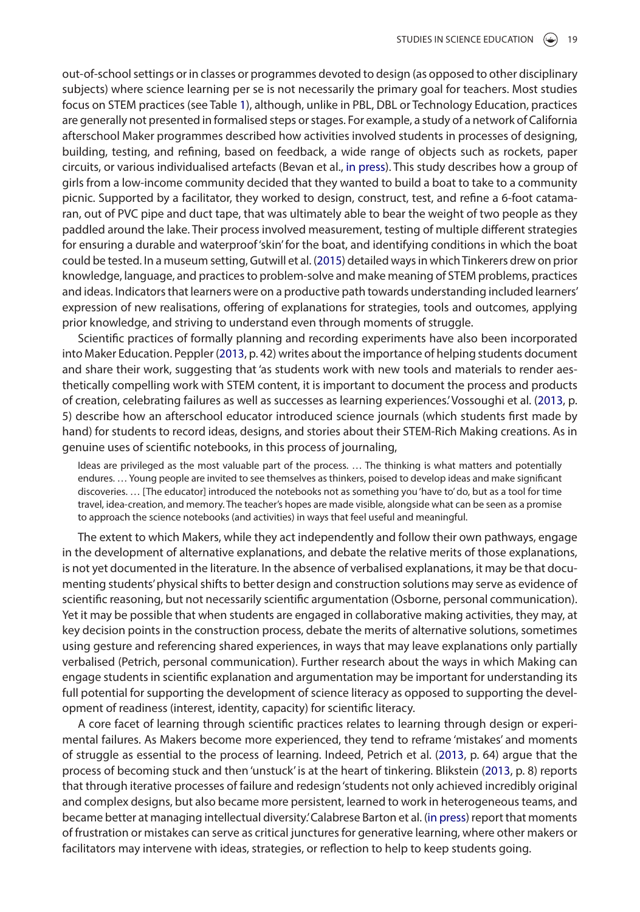out-of-school settings or in classes or programmes devoted to design (as opposed to other disciplinary subjects) where science learning per se is not necessarily the primary goal for teachers. Most studies focus on STEM practices (see Table [1\)](#page-10-0), although, unlike in PBL, DBL or Technology Education, practices are generally not presented in formalised steps or stages. For example, a study of a network of California afterschool Maker programmes described how activities involved students in processes of designing, building, testing, and refining, based on feedback, a wide range of objects such as rockets, paper circuits, or various individualised artefacts (Bevan et al., [in press](#page-26-11)). This study describes how a group of girls from a low-income community decided that they wanted to build a boat to take to a community picnic. Supported by a facilitator, they worked to design, construct, test, and refine a 6-foot catamaran, out of PVC pipe and duct tape, that was ultimately able to bear the weight of two people as they paddled around the lake. Their process involved measurement, testing of multiple different strategies for ensuring a durable and waterproof 'skin' for the boat, and identifying conditions in which the boat could be tested. In a museum setting, Gutwill et al. [\(2015\)](#page-27-28) detailed ways in which Tinkerers drew on prior knowledge, language, and practices to problem-solve and make meaning of STEM problems, practices and ideas. Indicators that learners were on a productive path towards understanding included learners' expression of new realisations, offering of explanations for strategies, tools and outcomes, applying prior knowledge, and striving to understand even through moments of struggle.

Scientific practices of formally planning and recording experiments have also been incorporated into Maker Education. Peppler [\(2013](#page-28-25), p. 42) writes about the importance of helping students document and share their work, suggesting that 'as students work with new tools and materials to render aesthetically compelling work with STEM content, it is important to document the process and products of creation, celebrating failures as well as successes as learning experiences.' Vossoughi et al. ([2013](#page-29-11), p. 5) describe how an afterschool educator introduced science journals (which students first made by hand) for students to record ideas, designs, and stories about their STEM-Rich Making creations. As in genuine uses of scientific notebooks, in this process of journaling,

Ideas are privileged as the most valuable part of the process. … The thinking is what matters and potentially endures. … Young people are invited to see themselves as thinkers, poised to develop ideas and make significant discoveries. … [The educator] introduced the notebooks not as something you 'have to' do, but as a tool for time travel, idea-creation, and memory. The teacher's hopes are made visible, alongside what can be seen as a promise to approach the science notebooks (and activities) in ways that feel useful and meaningful.

The extent to which Makers, while they act independently and follow their own pathways, engage in the development of alternative explanations, and debate the relative merits of those explanations, is not yet documented in the literature. In the absence of verbalised explanations, it may be that documenting students' physical shifts to better design and construction solutions may serve as evidence of scientific reasoning, but not necessarily scientific argumentation (Osborne, personal communication). Yet it may be possible that when students are engaged in collaborative making activities, they may, at key decision points in the construction process, debate the merits of alternative solutions, sometimes using gesture and referencing shared experiences, in ways that may leave explanations only partially verbalised (Petrich, personal communication). Further research about the ways in which Making can engage students in scientific explanation and argumentation may be important for understanding its full potential for supporting the development of science literacy as opposed to supporting the development of readiness (interest, identity, capacity) for scientific literacy.

A core facet of learning through scientific practices relates to learning through design or experimental failures. As Makers become more experienced, they tend to reframe 'mistakes' and moments of struggle as essential to the process of learning. Indeed, Petrich et al. [\(2013,](#page-28-13) p. 64) argue that the process of becoming stuck and then 'unstuck' is at the heart of tinkering. Blikstein ([2013](#page-26-4), p. 8) reports that through iterative processes of failure and redesign 'students not only achieved incredibly original and complex designs, but also became more persistent, learned to work in heterogeneous teams, and became better at managing intellectual diversity.' Calabrese Barton et al. ([in press](#page-26-26)) report that moments of frustration or mistakes can serve as critical junctures for generative learning, where other makers or facilitators may intervene with ideas, strategies, or reflection to help to keep students going.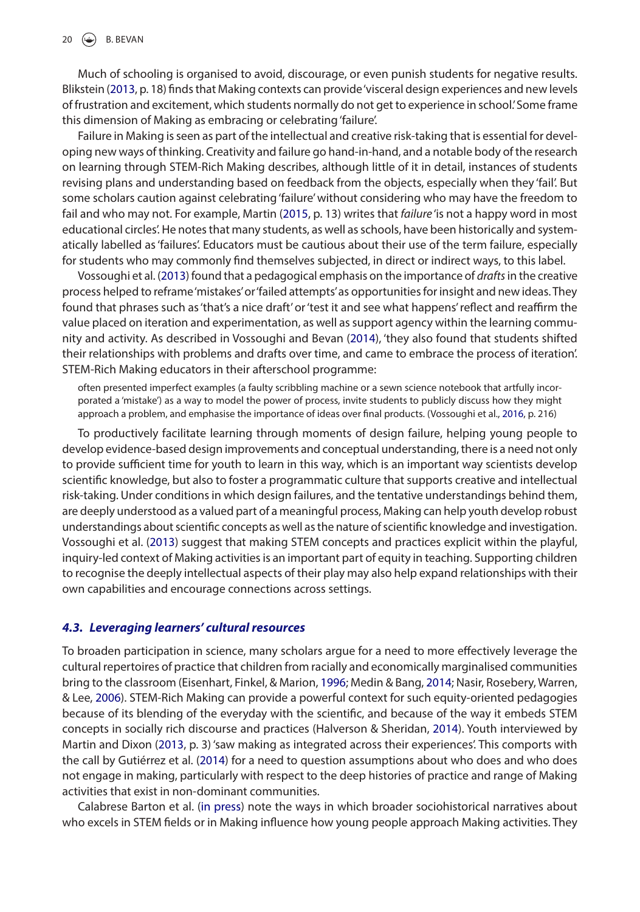Much of schooling is organised to avoid, discourage, or even punish students for negative results. Blikstein ([2013](#page-26-4), p. 18) finds that Making contexts can provide 'visceral design experiences and new levels of frustration and excitement, which students normally do not get to experience in school.' Some frame this dimension of Making as embracing or celebrating 'failure'.

Failure in Making is seen as part of the intellectual and creative risk-taking that is essential for developing new ways of thinking. Creativity and failure go hand-in-hand, and a notable body of the research on learning through STEM-Rich Making describes, although little of it in detail, instances of students revising plans and understanding based on feedback from the objects, especially when they 'fail'. But some scholars caution against celebrating 'failure' without considering who may have the freedom to fail and who may not. For example, Martin [\(2015,](#page-28-10) p. 13) writes that *failure* 'is not a happy word in most educational circles'. He notes that many students, as well as schools, have been historically and systematically labelled as 'failures'. Educators must be cautious about their use of the term failure, especially for students who may commonly find themselves subjected, in direct or indirect ways, to this label.

Vossoughi et al. [\(2013](#page-29-11)) found that a pedagogical emphasis on the importance of *drafts* in the creative process helped to reframe 'mistakes' or 'failed attempts' as opportunities for insight and new ideas. They found that phrases such as 'that's a nice draft' or 'test it and see what happens' reflect and reaffirm the value placed on iteration and experimentation, as well as support agency within the learning community and activity. As described in Vossoughi and Bevan ([2014](#page-29-7)), 'they also found that students shifted their relationships with problems and drafts over time, and came to embrace the process of iteration'. STEM-Rich Making educators in their afterschool programme:

often presented imperfect examples (a faulty scribbling machine or a sewn science notebook that artfully incorporated a 'mistake') as a way to model the power of process, invite students to publicly discuss how they might approach a problem, and emphasise the importance of ideas over final products. (Vossoughi et al., [2016,](#page-29-3) p. 216)

To productively facilitate learning through moments of design failure, helping young people to develop evidence-based design improvements and conceptual understanding, there is a need not only to provide sufficient time for youth to learn in this way, which is an important way scientists develop scientific knowledge, but also to foster a programmatic culture that supports creative and intellectual risk-taking. Under conditions in which design failures, and the tentative understandings behind them, are deeply understood as a valued part of a meaningful process, Making can help youth develop robust understandings about scientific concepts as well as the nature of scientific knowledge and investigation. Vossoughi et al. [\(2013\)](#page-29-11) suggest that making STEM concepts and practices explicit within the playful, inquiry-led context of Making activities is an important part of equity in teaching. Supporting children to recognise the deeply intellectual aspects of their play may also help expand relationships with their own capabilities and encourage connections across settings.

#### *4.3. Leveraging learners' cultural resources*

<span id="page-20-3"></span><span id="page-20-2"></span><span id="page-20-0"></span>To broaden participation in science, many scholars argue for a need to more effectively leverage the cultural repertoires of practice that children from racially and economically marginalised communities bring to the classroom (Eisenhart, Finkel, & Marion, [1996;](#page-26-28) Medin & Bang, [2014](#page-28-26); Nasir, Rosebery, Warren, & Lee, [2006](#page-28-27)). STEM-Rich Making can provide a powerful context for such equity-oriented pedagogies because of its blending of the everyday with the scientific, and because of the way it embeds STEM concepts in socially rich discourse and practices (Halverson & Sheridan, [2014](#page-27-7)). Youth interviewed by Martin and Dixon [\(2013,](#page-28-28) p. 3) 'saw making as integrated across their experiences'. This comports with the call by Gutiérrez et al. ([2014](#page-27-27)) for a need to question assumptions about who does and who does not engage in making, particularly with respect to the deep histories of practice and range of Making activities that exist in non-dominant communities.

<span id="page-20-1"></span>Calabrese Barton et al. ([in press\)](#page-26-26) note the ways in which broader sociohistorical narratives about who excels in STEM fields or in Making influence how young people approach Making activities. They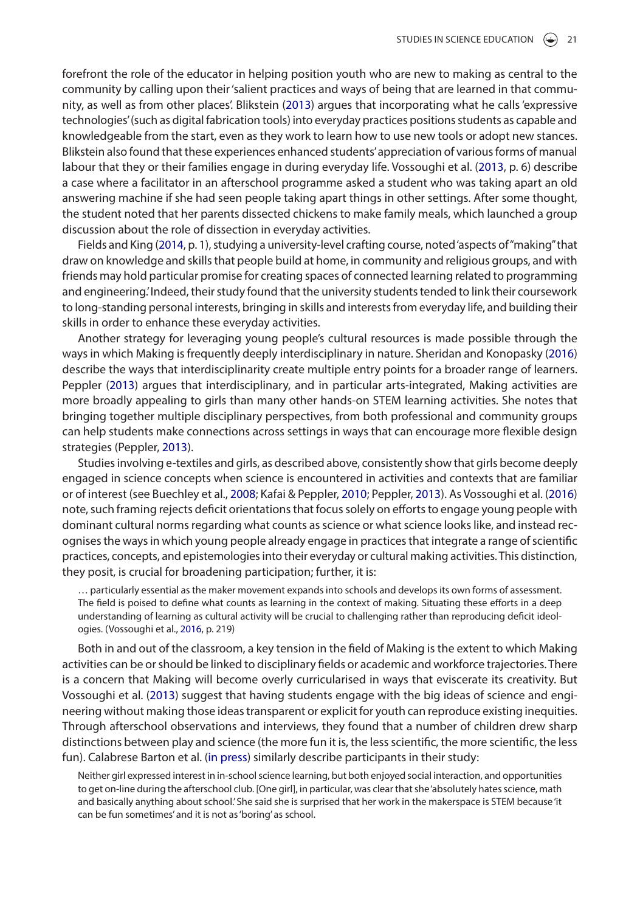forefront the role of the educator in helping position youth who are new to making as central to the community by calling upon their 'salient practices and ways of being that are learned in that community, as well as from other places'. Blikstein [\(2013\)](#page-26-4) argues that incorporating what he calls 'expressive technologies' (such as digital fabrication tools) into everyday practices positions students as capable and knowledgeable from the start, even as they work to learn how to use new tools or adopt new stances. Blikstein also found that these experiences enhanced students' appreciation of various forms of manual labour that they or their families engage in during everyday life. Vossoughi et al. ([2013](#page-29-11), p. 6) describe a case where a facilitator in an afterschool programme asked a student who was taking apart an old answering machine if she had seen people taking apart things in other settings. After some thought, the student noted that her parents dissected chickens to make family meals, which launched a group discussion about the role of dissection in everyday activities.

<span id="page-21-0"></span>Fields and King [\(2014,](#page-27-31) p. 1), studying a university-level crafting course, noted 'aspects of "making" that draw on knowledge and skills that people build at home, in community and religious groups, and with friends may hold particular promise for creating spaces of connected learning related to programming and engineering.' Indeed, their study found that the university students tended to link their coursework to long-standing personal interests, bringing in skills and interests from everyday life, and building their skills in order to enhance these everyday activities.

Another strategy for leveraging young people's cultural resources is made possible through the ways in which Making is frequently deeply interdisciplinary in nature. Sheridan and Konopasky [\(2016\)](#page-29-21) describe the ways that interdisciplinarity create multiple entry points for a broader range of learners. Peppler [\(2013\)](#page-28-25) argues that interdisciplinary, and in particular arts-integrated, Making activities are more broadly appealing to girls than many other hands-on STEM learning activities. She notes that bringing together multiple disciplinary perspectives, from both professional and community groups can help students make connections across settings in ways that can encourage more flexible design strategies (Peppler, [2013\)](#page-28-25).

Studies involving e-textiles and girls, as described above, consistently show that girls become deeply engaged in science concepts when science is encountered in activities and contexts that are familiar or of interest (see Buechley et al., [2008](#page-26-27); Kafai & Peppler, [2010;](#page-27-30) Peppler, [2013\)](#page-28-25). As Vossoughi et al. [\(2016\)](#page-29-3) note, such framing rejects deficit orientations that focus solely on efforts to engage young people with dominant cultural norms regarding what counts as science or what science looks like, and instead recognises the ways in which young people already engage in practices that integrate a range of scientific practices, concepts, and epistemologies into their everyday or cultural making activities. This distinction, they posit, is crucial for broadening participation; further, it is:

… particularly essential as the maker movement expands into schools and develops its own forms of assessment. The field is poised to define what counts as learning in the context of making. Situating these efforts in a deep understanding of learning as cultural activity will be crucial to challenging rather than reproducing deficit ideologies. (Vossoughi et al., [2016](#page-29-3), p. 219)

Both in and out of the classroom, a key tension in the field of Making is the extent to which Making activities can be or should be linked to disciplinary fields or academic and workforce trajectories. There is a concern that Making will become overly curricularised in ways that eviscerate its creativity. But Vossoughi et al. ([2013](#page-29-11)) suggest that having students engage with the big ideas of science and engineering without making those ideas transparent or explicit for youth can reproduce existing inequities. Through afterschool observations and interviews, they found that a number of children drew sharp distinctions between play and science (the more fun it is, the less scientific, the more scientific, the less fun). Calabrese Barton et al. [\(in press\)](#page-26-26) similarly describe participants in their study:

Neither girl expressed interest in in-school science learning, but both enjoyed social interaction, and opportunities to get on-line during the afterschool club. [One girl], in particular, was clear that she 'absolutely hates science, math and basically anything about school.' She said she is surprised that her work in the makerspace is STEM because 'it can be fun sometimes' and it is not as 'boring' as school.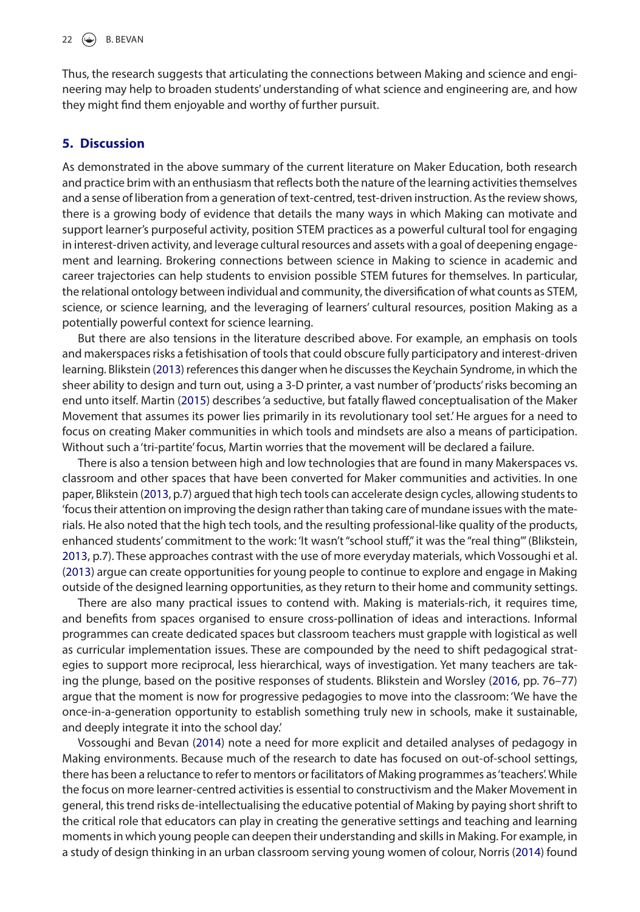#### 22  $\bigodot$  B. BEVAN

Thus, the research suggests that articulating the connections between Making and science and engineering may help to broaden students' understanding of what science and engineering are, and how they might find them enjoyable and worthy of further pursuit.

#### **5. Discussion**

As demonstrated in the above summary of the current literature on Maker Education, both research and practice brim with an enthusiasm that reflects both the nature of the learning activities themselves and a sense of liberation from a generation of text-centred, test-driven instruction. As the review shows, there is a growing body of evidence that details the many ways in which Making can motivate and support learner's purposeful activity, position STEM practices as a powerful cultural tool for engaging in interest-driven activity, and leverage cultural resources and assets with a goal of deepening engagement and learning. Brokering connections between science in Making to science in academic and career trajectories can help students to envision possible STEM futures for themselves. In particular, the relational ontology between individual and community, the diversification of what counts as STEM, science, or science learning, and the leveraging of learners' cultural resources, position Making as a potentially powerful context for science learning.

But there are also tensions in the literature described above. For example, an emphasis on tools and makerspaces risks a fetishisation of tools that could obscure fully participatory and interest-driven learning. Blikstein [\(2013\)](#page-26-4) references this danger when he discusses the Keychain Syndrome, in which the sheer ability to design and turn out, using a 3-D printer, a vast number of 'products' risks becoming an end unto itself. Martin ([2015](#page-28-10)) describes 'a seductive, but fatally flawed conceptualisation of the Maker Movement that assumes its power lies primarily in its revolutionary tool set.' He argues for a need to focus on creating Maker communities in which tools and mindsets are also a means of participation. Without such a 'tri-partite' focus, Martin worries that the movement will be declared a failure.

There is also a tension between high and low technologies that are found in many Makerspaces vs. classroom and other spaces that have been converted for Maker communities and activities. In one paper, Blikstein ([2013](#page-26-4), p.7) argued that high tech tools can accelerate design cycles, allowing students to 'focus their attention on improving the design rather than taking care of mundane issues with the materials. He also noted that the high tech tools, and the resulting professional-like quality of the products, enhanced students' commitment to the work: 'It wasn't "school stuff," it was the "real thing"' (Blikstein, [2013](#page-26-4), p.7). These approaches contrast with the use of more everyday materials, which Vossoughi et al. ([2013](#page-29-11)) argue can create opportunities for young people to continue to explore and engage in Making outside of the designed learning opportunities, as they return to their home and community settings.

There are also many practical issues to contend with. Making is materials-rich, it requires time, and benefits from spaces organised to ensure cross-pollination of ideas and interactions. Informal programmes can create dedicated spaces but classroom teachers must grapple with logistical as well as curricular implementation issues. These are compounded by the need to shift pedagogical strategies to support more reciprocal, less hierarchical, ways of investigation. Yet many teachers are taking the plunge, based on the positive responses of students. Blikstein and Worsley ([2016](#page-26-2), pp. 76–77) argue that the moment is now for progressive pedagogies to move into the classroom: 'We have the once-in-a-generation opportunity to establish something truly new in schools, make it sustainable, and deeply integrate it into the school day.'

<span id="page-22-0"></span>Vossoughi and Bevan [\(2014\)](#page-29-7) note a need for more explicit and detailed analyses of pedagogy in Making environments. Because much of the research to date has focused on out-of-school settings, there has been a reluctance to refer to mentors or facilitators of Making programmes as 'teachers'. While the focus on more learner-centred activities is essential to constructivism and the Maker Movement in general, this trend risks de-intellectualising the educative potential of Making by paying short shrift to the critical role that educators can play in creating the generative settings and teaching and learning moments in which young people can deepen their understanding and skills in Making. For example, in a study of design thinking in an urban classroom serving young women of colour, Norris [\(2014\)](#page-28-29) found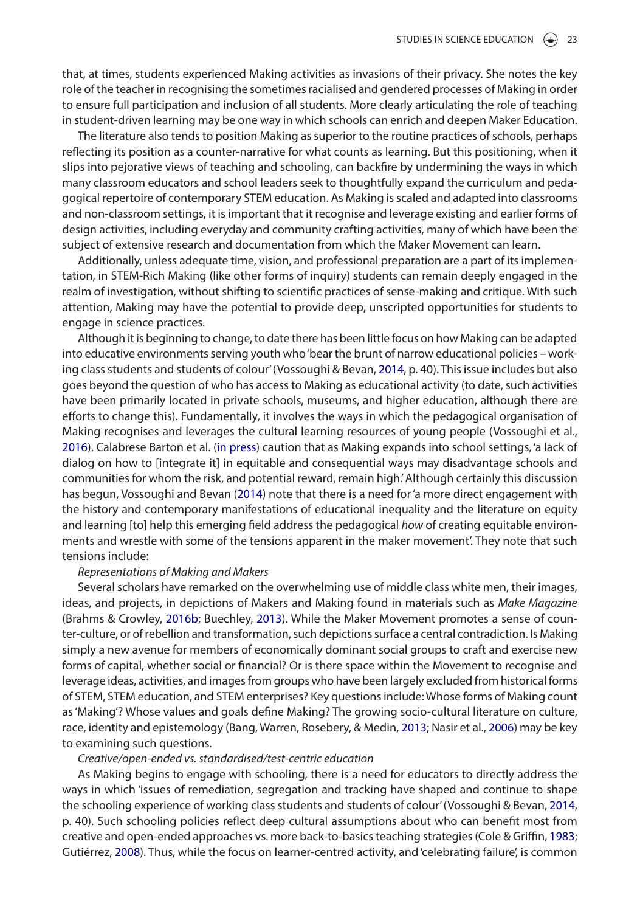that, at times, students experienced Making activities as invasions of their privacy. She notes the key role of the teacher in recognising the sometimes racialised and gendered processes of Making in order to ensure full participation and inclusion of all students. More clearly articulating the role of teaching in student-driven learning may be one way in which schools can enrich and deepen Maker Education.

The literature also tends to position Making as superior to the routine practices of schools, perhaps reflecting its position as a counter-narrative for what counts as learning. But this positioning, when it slips into pejorative views of teaching and schooling, can backfire by undermining the ways in which many classroom educators and school leaders seek to thoughtfully expand the curriculum and pedagogical repertoire of contemporary STEM education. As Making is scaled and adapted into classrooms and non-classroom settings, it is important that it recognise and leverage existing and earlier forms of design activities, including everyday and community crafting activities, many of which have been the subject of extensive research and documentation from which the Maker Movement can learn.

Additionally, unless adequate time, vision, and professional preparation are a part of its implementation, in STEM-Rich Making (like other forms of inquiry) students can remain deeply engaged in the realm of investigation, without shifting to scientific practices of sense-making and critique. With such attention, Making may have the potential to provide deep, unscripted opportunities for students to engage in science practices.

Although it is beginning to change, to date there has been little focus on how Making can be adapted into educative environments serving youth who 'bear the brunt of narrow educational policies – working class students and students of colour' (Vossoughi & Bevan, [2014](#page-29-7), p. 40). This issue includes but also goes beyond the question of who has access to Making as educational activity (to date, such activities have been primarily located in private schools, museums, and higher education, although there are efforts to change this). Fundamentally, it involves the ways in which the pedagogical organisation of Making recognises and leverages the cultural learning resources of young people (Vossoughi et al., [2016](#page-29-3)). Calabrese Barton et al. [\(in press\)](#page-26-26) caution that as Making expands into school settings, 'a lack of dialog on how to [integrate it] in equitable and consequential ways may disadvantage schools and communities for whom the risk, and potential reward, remain high.' Although certainly this discussion has begun, Vossoughi and Bevan ([2014](#page-29-7)) note that there is a need for 'a more direct engagement with the history and contemporary manifestations of educational inequality and the literature on equity and learning [to] help this emerging field address the pedagogical *how* of creating equitable environments and wrestle with some of the tensions apparent in the maker movement'. They note that such tensions include:

#### <span id="page-23-1"></span>*Representations of Making and Makers*

Several scholars have remarked on the overwhelming use of middle class white men, their images, ideas, and projects, in depictions of Makers and Making found in materials such as *Make Magazine* (Brahms & Crowley, [2016b;](#page-26-29) Buechley, [2013](#page-26-5)). While the Maker Movement promotes a sense of counter-culture, or of rebellion and transformation, such depictions surface a central contradiction. Is Making simply a new avenue for members of economically dominant social groups to craft and exercise new forms of capital, whether social or financial? Or is there space within the Movement to recognise and leverage ideas, activities, and images from groups who have been largely excluded from historical forms of STEM, STEM education, and STEM enterprises? Key questions include: Whose forms of Making count as 'Making'? Whose values and goals define Making? The growing socio-cultural literature on culture, race, identity and epistemology (Bang, Warren, Rosebery, & Medin, [2013](#page-25-6); Nasir et al., [2006](#page-28-27)) may be key to examining such questions.

<span id="page-23-3"></span><span id="page-23-2"></span><span id="page-23-0"></span>*Creative/open*-*ended vs. standardised/test*-*centric education*

As Making begins to engage with schooling, there is a need for educators to directly address the ways in which 'issues of remediation, segregation and tracking have shaped and continue to shape the schooling experience of working class students and students of colour' (Vossoughi & Bevan, [2014](#page-29-7), p. 40). Such schooling policies reflect deep cultural assumptions about who can benefit most from creative and open-ended approaches vs. more back-to-basics teaching strategies (Cole & Griffin, [1983](#page-26-30); Gutiérrez, [2008\)](#page-27-32). Thus, while the focus on learner-centred activity, and 'celebrating failure', is common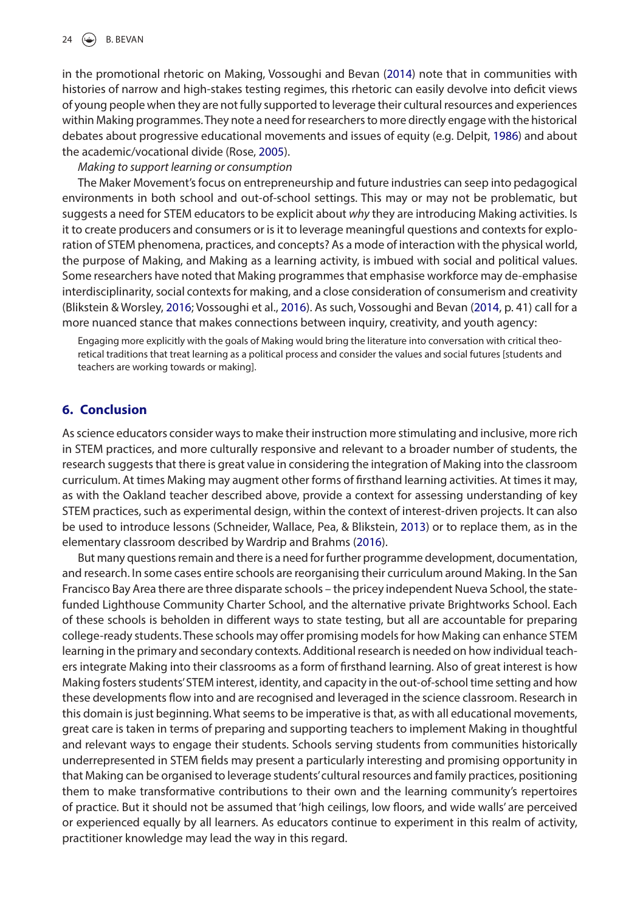#### $\circledcirc$  B. BEVAN

in the promotional rhetoric on Making, Vossoughi and Bevan [\(2014\)](#page-29-7) note that in communities with histories of narrow and high-stakes testing regimes, this rhetoric can easily devolve into deficit views of young people when they are not fully supported to leverage their cultural resources and experiences within Making programmes. They note a need for researchers to more directly engage with the historical debates about progressive educational movements and issues of equity (e.g. Delpit, [1986\)](#page-26-31) and about the academic/vocational divide (Rose, [2005](#page-29-22)).

<span id="page-24-1"></span><span id="page-24-0"></span>*Making to support learning or consumption*

The Maker Movement's focus on entrepreneurship and future industries can seep into pedagogical environments in both school and out-of-school settings. This may or may not be problematic, but suggests a need for STEM educators to be explicit about *why* they are introducing Making activities. Is it to create producers and consumers or is it to leverage meaningful questions and contexts for exploration of STEM phenomena, practices, and concepts? As a mode of interaction with the physical world, the purpose of Making, and Making as a learning activity, is imbued with social and political values. Some researchers have noted that Making programmes that emphasise workforce may de-emphasise interdisciplinarity, social contexts for making, and a close consideration of consumerism and creativity (Blikstein & Worsley, [2016;](#page-26-2) Vossoughi et al., [2016](#page-29-3)). As such, Vossoughi and Bevan [\(2014,](#page-29-7) p. 41) call for a more nuanced stance that makes connections between inquiry, creativity, and youth agency:

Engaging more explicitly with the goals of Making would bring the literature into conversation with critical theoretical traditions that treat learning as a political process and consider the values and social futures [students and teachers are working towards or making].

#### **6. Conclusion**

As science educators consider ways to make their instruction more stimulating and inclusive, more rich in STEM practices, and more culturally responsive and relevant to a broader number of students, the research suggests that there is great value in considering the integration of Making into the classroom curriculum. At times Making may augment other forms of firsthand learning activities. At times it may, as with the Oakland teacher described above, provide a context for assessing understanding of key STEM practices, such as experimental design, within the context of interest-driven projects. It can also be used to introduce lessons (Schneider, Wallace, Pea, & Blikstein, [2013](#page-29-23)) or to replace them, as in the elementary classroom described by Wardrip and Brahms ([2016](#page-29-17)).

<span id="page-24-2"></span>But many questions remain and there is a need for further programme development, documentation, and research. In some cases entire schools are reorganising their curriculum around Making. In the San Francisco Bay Area there are three disparate schools – the pricey independent Nueva School, the statefunded Lighthouse Community Charter School, and the alternative private Brightworks School. Each of these schools is beholden in different ways to state testing, but all are accountable for preparing college-ready students. These schools may offer promising models for how Making can enhance STEM learning in the primary and secondary contexts. Additional research is needed on how individual teachers integrate Making into their classrooms as a form of firsthand learning. Also of great interest is how Making fosters students' STEM interest, identity, and capacity in the out-of-school time setting and how these developments flow into and are recognised and leveraged in the science classroom. Research in this domain is just beginning. What seems to be imperative is that, as with all educational movements, great care is taken in terms of preparing and supporting teachers to implement Making in thoughtful and relevant ways to engage their students. Schools serving students from communities historically underrepresented in STEM fields may present a particularly interesting and promising opportunity in that Making can be organised to leverage students' cultural resources and family practices, positioning them to make transformative contributions to their own and the learning community's repertoires of practice. But it should not be assumed that 'high ceilings, low floors, and wide walls' are perceived or experienced equally by all learners. As educators continue to experiment in this realm of activity, practitioner knowledge may lead the way in this regard.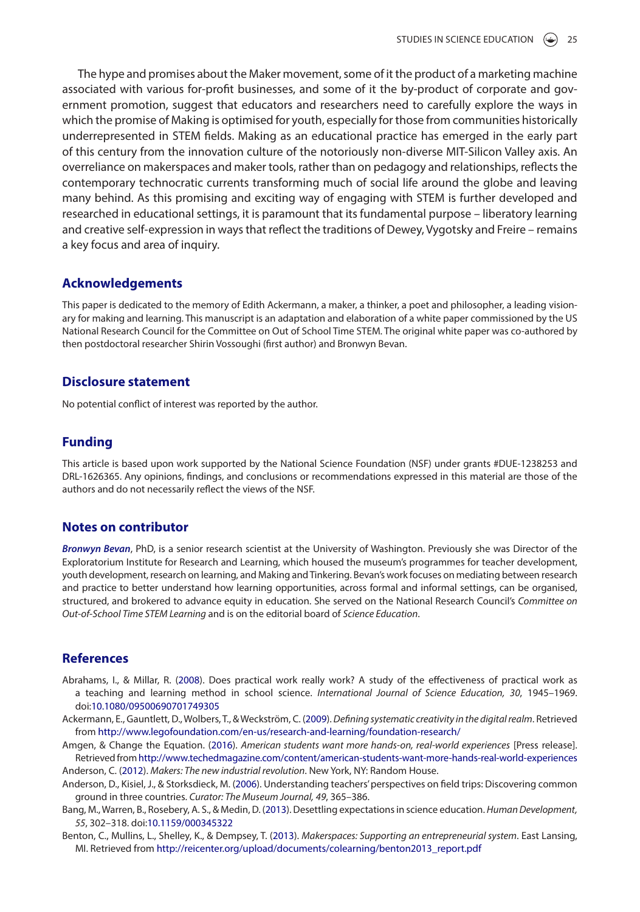The hype and promises about the Maker movement, some of it the product of a marketing machine associated with various for-profit businesses, and some of it the by-product of corporate and government promotion, suggest that educators and researchers need to carefully explore the ways in which the promise of Making is optimised for youth, especially for those from communities historically underrepresented in STEM fields. Making as an educational practice has emerged in the early part of this century from the innovation culture of the notoriously non-diverse MIT-Silicon Valley axis. An overreliance on makerspaces and maker tools, rather than on pedagogy and relationships, reflects the contemporary technocratic currents transforming much of social life around the globe and leaving many behind. As this promising and exciting way of engaging with STEM is further developed and researched in educational settings, it is paramount that its fundamental purpose – liberatory learning and creative self-expression in ways that reflect the traditions of Dewey, Vygotsky and Freire – remains a key focus and area of inquiry.

#### **Acknowledgements**

This paper is dedicated to the memory of Edith Ackermann, a maker, a thinker, a poet and philosopher, a leading visionary for making and learning. This manuscript is an adaptation and elaboration of a white paper commissioned by the US National Research Council for the Committee on Out of School Time STEM. The original white paper was co-authored by then postdoctoral researcher Shirin Vossoughi (first author) and Bronwyn Bevan.

#### **Disclosure statement**

No potential conflict of interest was reported by the author.

#### **Funding**

This article is based upon work supported by the National Science Foundation (NSF) under grants #DUE-1238253 and DRL-1626365. Any opinions, findings, and conclusions or recommendations expressed in this material are those of the authors and do not necessarily reflect the views of the NSF.

#### **Notes on contributor**

*Bronwyn Bevan*, PhD, is a senior research scientist at the University of Washington. Previously she was Director of the Exploratorium Institute for Research and Learning, which housed the museum's programmes for teacher development, youth development, research on learning, and Making and Tinkering. Bevan's work focuses on mediating between research and practice to better understand how learning opportunities, across formal and informal settings, can be organised, structured, and brokered to advance equity in education. She served on the National Research Council's *Committee on Out*-*of*-*School Time STEM Learning* and is on the editorial board of *Science Education*.

#### **References**

- <span id="page-25-2"></span>Abrahams, I., & Millar, R. [\(2008\)](#page-9-0). Does practical work really work? A study of the effectiveness of practical work as a teaching and learning method in school science. *International Journal of Science Education, 30*, 1945–1969. doi[:10.1080/09500690701749305](http://dx.doi.org/10.1080/09500690701749305)
- <span id="page-25-5"></span>Ackermann, E., Gauntlett, D., Wolbers, T., & Weckström, C. ([2009\)](#page-15-0). *Defining systematic creativity in the digital realm*. Retrieved from <http://www.legofoundation.com/en-us/research-and-learning/foundation-research/>

<span id="page-25-3"></span>Amgen, & Change the Equation. ([2016](#page-9-1)). *American students want more hands-on, real-world experiences* [Press release]. Retrieved from<http://www.techedmagazine.com/content/american-students-want-more-hands-real-world-experiences> Anderson, C. [\(2012](#page-2-0)). *Makers: The new industrial revolution*. New York, NY: Random House.

<span id="page-25-4"></span><span id="page-25-0"></span>Anderson, D., Kisiel, J., & Storksdieck, M. ([2006\)](#page-9-2). Understanding teachers' perspectives on field trips: Discovering common ground in three countries. *Curator: The Museum Journal, 49*, 365–386.

<span id="page-25-6"></span>Bang, M., Warren, B., Rosebery, A. S., & Medin, D. ([2013\)](#page-23-0). Desettling expectations in science education. *Human Development, 55*, 302–318. doi:[10.1159/000345322](http://dx.doi.org/10.1159/000345322)

<span id="page-25-1"></span>Benton, C., Mullins, L., Shelley, K., & Dempsey, T. [\(2013\)](#page-5-0). *Makerspaces: Supporting an entrepreneurial system*. East Lansing, MI. Retrieved from [http://reicenter.org/upload/documents/colearning/benton2013\\_report.pdf](http://reicenter.org/upload/documents/colearning/benton2013_report.pdf)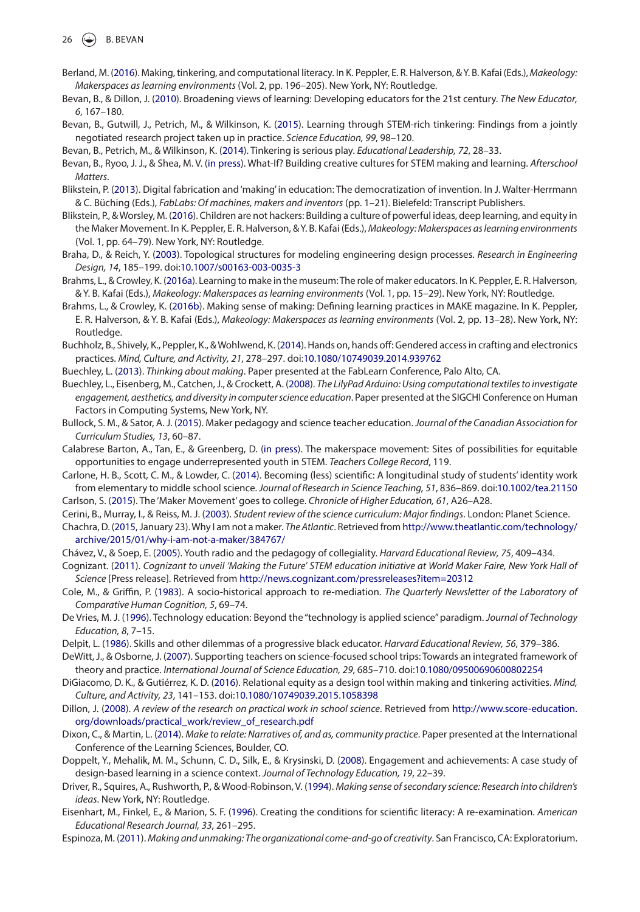- <span id="page-26-14"></span>Berland, M. ([2016\)](#page-8-1). Making, tinkering, and computational literacy. In K. Peppler, E. R. Halverson, & Y. B. Kafai (Eds.), *Makeology: Makerspaces as learning environments* (Vol. 2, pp. 196–205). New York, NY: Routledge.
- <span id="page-26-25"></span>Bevan, B., & Dillon, J. [\(2010\)](#page-16-0). Broadening views of learning: Developing educators for the 21st century. *The New Educator, 6*, 167–180.
- <span id="page-26-8"></span>Bevan, B., Gutwill, J., Petrich, M., & Wilkinson, K. ([2015](#page-2-1)). Learning through STEM-rich tinkering: Findings from a jointly negotiated research project taken up in practice. *Science Education, 99*, 98–120.
- <span id="page-26-15"></span>Bevan, B., Petrich, M., & Wilkinson, K. [\(2014\)](#page-8-2). Tinkering is serious play. *Educational Leadership, 72*, 28–33.
- <span id="page-26-11"></span>Bevan, B., Ryoo, J. J., & Shea, M. V. [\(in press\)](#page-6-0). What-If? Building creative cultures for STEM making and learning. *Afterschool Matters*.
- <span id="page-26-4"></span>Blikstein, P. [\(2013](#page-2-2)). Digital fabrication and 'making' in education: The democratization of invention. In J. Walter-Herrmann & C. Büching (Eds.), *FabLabs: Of machines, makers and inventors* (pp. 1–21). Bielefeld: Transcript Publishers.
- <span id="page-26-2"></span>Blikstein, P., & Worsley, M. ([2016\)](#page-1-0). Children are not hackers: Building a culture of powerful ideas, deep learning, and equity in the Maker Movement. In K. Peppler, E. R. Halverson, & Y. B. Kafai (Eds.), *Makeology: Makerspaces as learning environments* (Vol. 1, pp. 64–79). New York, NY: Routledge.
- <span id="page-26-21"></span>Braha, D., & Reich, Y. ([2003](#page-10-1)). Topological structures for modeling engineering design processes. *Research in Engineering Design, 14*, 185–199. doi[:10.1007/s00163-003-0035-3](http://dx.doi.org/10.1007/s00163-003-0035-3)
- <span id="page-26-7"></span>Brahms, L., & Crowley, K. [\(2016a](#page-2-3)). Learning to make in the museum: The role of maker educators. In K. Peppler, E. R. Halverson, & Y. B. Kafai (Eds.), *Makeology: Makerspaces as learning environments* (Vol. 1, pp. 15–29). New York, NY: Routledge.
- <span id="page-26-29"></span>Brahms, L., & Crowley, K. ([2016b\)](#page-23-1). Making sense of making: Defining learning practices in MAKE magazine. In K. Peppler, E. R. Halverson, & Y. B. Kafai (Eds.), *Makeology: Makerspaces as learning environments* (Vol. 2, pp. 13–28). New York, NY: Routledge.
- <span id="page-26-3"></span>Buchholz, B., Shively, K., Peppler, K., & Wohlwend, K. ([2014](#page-2-4)). Hands on, hands off: Gendered access in crafting and electronics practices. *Mind, Culture, and Activity, 21*, 278–297. doi[:10.1080/10749039.2014.939762](http://dx.doi.org/10.1080/10749039.2014.939762)
- <span id="page-26-5"></span>Buechley, L. ([2013](#page-2-5)). *Thinking about making*. Paper presented at the FabLearn Conference, Palo Alto, CA.
- <span id="page-26-27"></span>Buechley, L., Eisenberg, M., Catchen, J., & Crockett, A. ([2008](#page-18-0)). *The LilyPad Arduino: Using computational textiles to investigate engagement, aesthetics, and diversity in computer science education*. Paper presented at the SIGCHI Conference on Human Factors in Computing Systems, New York, NY.
- <span id="page-26-0"></span>Bullock, S. M., & Sator, A. J. ([2015](#page-1-1)). Maker pedagogy and science teacher education. *Journal of the Canadian Association for Curriculum Studies, 13*, 60–87.
- <span id="page-26-26"></span>Calabrese Barton, A., Tan, E., & Greenberg, D. [\(in press\)](#page-16-1). The makerspace movement: Sites of possibilities for equitable opportunities to engage underrepresented youth in STEM. *Teachers College Record*, 119.
- <span id="page-26-23"></span>Carlone, H. B., Scott, C. M., & Lowder, C. [\(2014\)](#page-13-0). Becoming (less) scientific: A longitudinal study of students' identity work from elementary to middle school science. *Journal of Research in Science Teaching, 51*, 836–869. doi:[10.1002/tea.21150](http://dx.doi.org/10.1002/tea.21150) Carlson, S. ([2015](#page-5-1)). The 'Maker Movement' goes to college. *Chronicle of Higher Education, 61*, A26–A28.
- <span id="page-26-18"></span><span id="page-26-10"></span>Cerini, B., Murray, I., & Reiss, M. J. [\(2003\)](#page-9-3). *Student review of the science curriculum: Major findings*. London: Planet Science.
- <span id="page-26-6"></span>Chachra, D. [\(2015,](#page-2-6) January 23). Why I am not a maker. *The Atlantic*. Retrieved from [http://www.theatlantic.com/technology/](http://www.theatlantic.com/technology/archive/2015/01/why-i-am-not-a-maker/384767/) [archive/2015/01/why-i-am-not-a-maker/384767/](http://www.theatlantic.com/technology/archive/2015/01/why-i-am-not-a-maker/384767/)
- <span id="page-26-24"></span>Chávez, V., & Soep, E. [\(2005\)](#page-16-2). Youth radio and the pedagogy of collegiality. *Harvard Educational Review, 75*, 409–434.
- <span id="page-26-9"></span>Cognizant. [\(2011](#page-4-1)). *Cognizant to unveil 'Making the Future' STEM education initiative at World Maker Faire, New York Hall of Science* [Press release]. Retrieved from <http://news.cognizant.com/pressreleases?item=20312>
- <span id="page-26-30"></span>Cole, M., & Griffin, P. ([1983\)](#page-23-2). A socio-historical approach to re-mediation. *The Quarterly Newsletter of the Laboratory of Comparative Human Cognition, 5*, 69–74.
- <span id="page-26-22"></span>De Vries, M. J. [\(1996\)](#page-11-0). Technology education: Beyond the "technology is applied science" paradigm. *Journal of Technology Education, 8*, 7–15.
- <span id="page-26-31"></span>Delpit, L. [\(1986](#page-24-0)). Skills and other dilemmas of a progressive black educator. *Harvard Educational Review, 56*, 379–386.
- <span id="page-26-17"></span>DeWitt, J., & Osborne, J. [\(2007\)](#page-9-4). Supporting teachers on science-focused school trips: Towards an integrated framework of theory and practice. *International Journal of Science Education, 29*, 685–710. doi:[10.1080/09500690600802254](http://dx.doi.org/10.1080/09500690600802254)
- <span id="page-26-12"></span>DiGiacomo, D. K., & Gutiérrez, K. D. [\(2016\)](#page-7-1). Relational equity as a design tool within making and tinkering activities. *Mind, Culture, and Activity, 23*, 141–153. doi[:10.1080/10749039.2015.1058398](http://dx.doi.org/10.1080/10749039.2015.1058398)
- <span id="page-26-19"></span>Dillon, J. ([2008\)](#page-9-5). *A review of the research on practical work in school science*. Retrieved from [http://www.score-education.](http://www.score-education.org/downloads/practical_work/review_of_research.pdf) [org/downloads/practical\\_work/review\\_of\\_research.pdf](http://www.score-education.org/downloads/practical_work/review_of_research.pdf)
- <span id="page-26-1"></span>Dixon, C., & Martin, L. [\(2014\)](#page-1-2). *Make to relate: Narratives of, and as, community practice*. Paper presented at the International Conference of the Learning Sciences, Boulder, CO.
- <span id="page-26-20"></span>Doppelt, Y., Mehalik, M. M., Schunn, C. D., Silk, E., & Krysinski, D. [\(2008\)](#page-10-2). Engagement and achievements: A case study of design-based learning in a science context. *Journal of Technology Education, 19*, 22–39.
- <span id="page-26-16"></span>Driver, R., Squires, A., Rushworth, P., & Wood-Robinson, V. [\(1994\)](#page-9-6). *Making sense of secondary science: Research into children's ideas*. New York, NY: Routledge.
- <span id="page-26-28"></span>Eisenhart, M., Finkel, E., & Marion, S. F. [\(1996\)](#page-20-0). Creating the conditions for scientific literacy: A re-examination. *American Educational Research Journal, 33*, 261–295.
- <span id="page-26-13"></span>Espinoza, M. [\(2011\)](#page-7-2). *Making and unmaking: The organizational come-and-go of creativity*. San Francisco, CA: Exploratorium.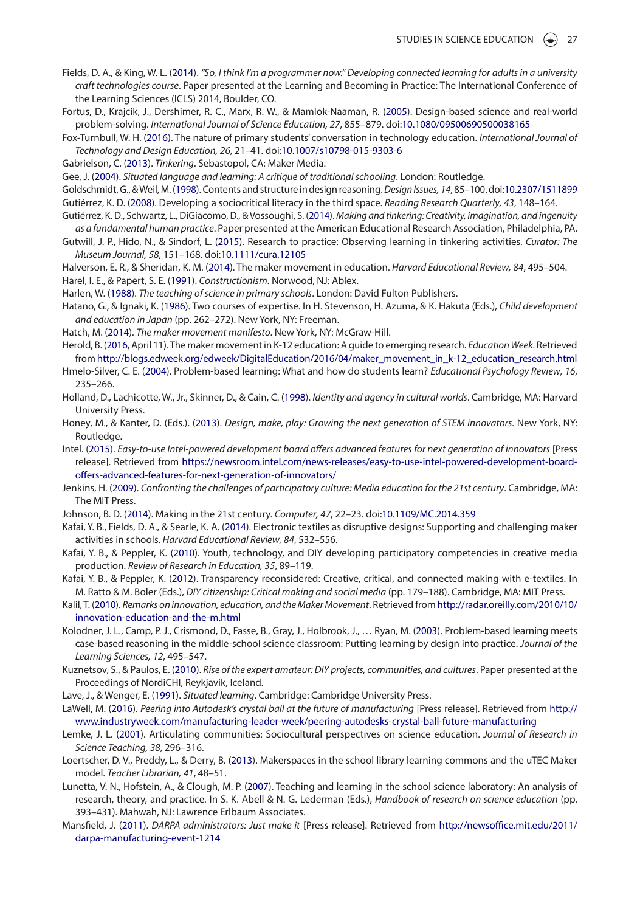- <span id="page-27-31"></span>Fields, D. A., & King, W. L. ([2014](#page-21-0)). *"So, I think I'm a programmer now." Developing connected learning for adults in a university craft technologies course*. Paper presented at the Learning and Becoming in Practice: The International Conference of the Learning Sciences (ICLS) 2014, Boulder, CO.
- <span id="page-27-19"></span>Fortus, D., Krajcik, J., Dershimer, R. C., Marx, R. W., & Mamlok-Naaman, R. ([2005\)](#page-10-3). Design-based science and real-world problem-solving. *International Journal of Science Education, 27*, 855–879. doi[:10.1080/09500690500038165](http://dx.doi.org/10.1080/09500690500038165)
- <span id="page-27-18"></span>Fox-Turnbull, W. H. [\(2016](#page-10-4)). The nature of primary students' conversation in technology education. *International Journal of Technology and Design Education, 26*, 21–41. doi[:10.1007/s10798-015-9303-6](http://dx.doi.org/10.1007/s10798-015-9303-6)
- <span id="page-27-25"></span>Gabrielson, C. ([2013](#page-15-1)). *Tinkering*. Sebastopol, CA: Maker Media.
- <span id="page-27-2"></span>Gee, J. ([2004](#page-2-7)). *Situated language and learning: A critique of traditional schooling*. London: Routledge.
- <span id="page-27-32"></span><span id="page-27-21"></span>Goldschmidt, G., & Weil, M. [\(1998](#page-10-5)). Contents and structure in design reasoning. *Design Issues, 14*, 85–100. doi:[10.2307/1511899](http://dx.doi.org/10.2307/1511899) Gutiérrez, K. D. ([2008\)](#page-23-3). Developing a sociocritical literacy in the third space. *Reading Research Quarterly, 43*, 148–164.
- <span id="page-27-27"></span>Gutiérrez, K. D., Schwartz, L., DiGiacomo, D., & Vossoughi, S. [\(2014](#page-16-3)). *Making and tinkering: Creativity, imagination, and ingenuity as a fundamental human practice*. Paper presented at the American Educational Research Association, Philadelphia, PA.
- <span id="page-27-28"></span>Gutwill, J. P., Hido, N., & Sindorf, L. [\(2015\)](#page-16-4). Research to practice: Observing learning in tinkering activities. *Curator: The Museum Journal, 58*, 151–168. doi[:10.1111/cura.12105](http://dx.doi.org/10.1111/cura.12105)
- <span id="page-27-9"></span><span id="page-27-7"></span>Halverson, E. R., & Sheridan, K. M. ([2014](#page-5-2)). The maker movement in education. *Harvard Educational Review, 84*, 495–504. Harel, I. E., & Papert, S. E. ([1991\)](#page-5-3). *Constructionism*. Norwood, NJ: Ablex.
- <span id="page-27-16"></span>Harlen, W. [\(1988](#page-9-7)). *The teaching of science in primary schools*. London: David Fulton Publishers.
- <span id="page-27-29"></span>Hatano, G., & Ignaki, K. [\(1986\)](#page-18-1). Two courses of expertise. In H. Stevenson, H. Azuma, & K. Hakuta (Eds.), *Child development and education in Japan* (pp. 262–272). New York, NY: Freeman.
- <span id="page-27-1"></span>Hatch, M. [\(2014](#page-2-8)). *The maker movement manifesto*. New York, NY: McGraw-Hill.
- <span id="page-27-6"></span>Herold, B. [\(2016](#page-5-4), April 11). The maker movement in K-12 education: A guide to emerging research. *Education Week*. Retrieved from [http://blogs.edweek.org/edweek/DigitalEducation/2016/04/maker\\_movement\\_in\\_k-12\\_education\\_research.html](http://blogs.edweek.org/edweek/DigitalEducation/2016/04/maker_movement_in_k-12_education_research.html)
- <span id="page-27-20"></span>Hmelo-Silver, C. E. ([2004](#page-10-6)). Problem-based learning: What and how do students learn? *Educational Psychology Review, 16*, 235–266.
- <span id="page-27-23"></span>Holland, D., Lachicotte, W., Jr., Skinner, D., & Cain, C. [\(1998\)](#page-13-1). *Identity and agency in cultural worlds*. Cambridge, MA: Harvard University Press.
- <span id="page-27-8"></span>Honey, M., & Kanter, D. (Eds.). ([2013](#page-5-5)). *Design, make, play: Growing the next generation of STEM innovators*. New York, NY: Routledge.
- <span id="page-27-15"></span>Intel. ([2015\)](#page-6-1). *Easy-to-use Intel-powered development board offers advanced features for next generation of innovators* [Press release]. Retrieved from [https://newsroom.intel.com/news-releases/easy-to-use-intel-powered-development-board](https://newsroom.intel.com/news-releases/easy-to-use-intel-powered-development-board-offers-advanced-features-for-next-generation-of-innovators/)[offers-advanced-features-for-next-generation-of-innovators/](https://newsroom.intel.com/news-releases/easy-to-use-intel-powered-development-board-offers-advanced-features-for-next-generation-of-innovators/)
- <span id="page-27-13"></span>Jenkins, H. ([2009](#page-6-2)). *Confronting the challenges of participatory culture: Media education for the 21st century*. Cambridge, MA: The MIT Press.
- <span id="page-27-14"></span>Johnson, B. D. ([2014](#page-6-3)). Making in the 21st century. *Computer, 47*, 22–23. doi:[10.1109/MC.2014.359](http://dx.doi.org/10.1109/MC.2014.359)
- <span id="page-27-22"></span>Kafai, Y. B., Fields, D. A., & Searle, K. A. [\(2014\)](#page-11-1). Electronic textiles as disruptive designs: Supporting and challenging maker activities in schools. *Harvard Educational Review, 84*, 532–556.
- <span id="page-27-30"></span>Kafai, Y. B., & Peppler, K. ([2010](#page-18-2)). Youth, technology, and DIY developing participatory competencies in creative media production. *Review of Research in Education, 35*, 89–119.
- <span id="page-27-26"></span>Kafai, Y. B., & Peppler, K. ([2012](#page-15-2)). Transparency reconsidered: Creative, critical, and connected making with e-textiles. In M. Ratto & M. Boler (Eds.), *DIY citizenship: Critical making and social media* (pp. 179–188). Cambridge, MA: MIT Press.
- <span id="page-27-0"></span>Kalil, T. [\(2010](#page-2-9)). *Remarks on innovation, education, and the Maker Movement*. Retrieved from [http://radar.oreilly.com/2010/10/](http://radar.oreilly.com/2010/10/innovation-education-and-the-m.html) [innovation-education-and-the-m.html](http://radar.oreilly.com/2010/10/innovation-education-and-the-m.html)
- <span id="page-27-3"></span>Kolodner, J. L., Camp, P. J., Crismond, D., Fasse, B., Gray, J., Holbrook, J., … Ryan, M. ([2003](#page-2-10)). Problem-based learning meets case-based reasoning in the middle-school science classroom: Putting learning by design into practice. *Journal of the Learning Sciences, 12*, 495–547.
- <span id="page-27-24"></span>Kuznetsov, S., & Paulos, E. ([2010](#page-15-3)). *Rise of the expert amateur: DIY projects, communities, and cultures*. Paper presented at the Proceedings of NordiCHI, Reykjavik, Iceland.
- <span id="page-27-12"></span>Lave, J., & Wenger, E. [\(1991\)](#page-6-4). *Situated learning*. Cambridge: Cambridge University Press.
- <span id="page-27-5"></span>LaWell, M. ([2016](#page-4-2)). *Peering into Autodesk's crystal ball at the future of manufacturing* [Press release]. Retrieved from [http://](http://www.industryweek.com/manufacturing-leader-week/peering-autodesks-crystal-ball-future-manufacturing) [www.industryweek.com/manufacturing-leader-week/peering-autodesks-crystal-ball-future-manufacturing](http://www.industryweek.com/manufacturing-leader-week/peering-autodesks-crystal-ball-future-manufacturing)
- <span id="page-27-4"></span>Lemke, J. L. ([2001](#page-3-1)). Articulating communities: Sociocultural perspectives on science education. *Journal of Research in Science Teaching, 38*, 296–316.
- <span id="page-27-10"></span>Loertscher, D. V., Preddy, L., & Derry, B. [\(2013\)](#page-5-6). Makerspaces in the school library learning commons and the uTEC Maker model. *Teacher Librarian, 41*, 48–51.
- <span id="page-27-17"></span>Lunetta, V. N., Hofstein, A., & Clough, M. P. ([2007](#page-10-7)). Teaching and learning in the school science laboratory: An analysis of research, theory, and practice. In S. K. Abell & N. G. Lederman (Eds.), *Handbook of research on science education* (pp. 393–431). Mahwah, NJ: Lawrence Erlbaum Associates.
- <span id="page-27-11"></span>Mansfield, J. [\(2011\)](#page-6-5). *DARPA administrators: Just make it* [Press release]. Retrieved from [http://newsoffice.mit.edu/2011/](http://newsoffice.mit.edu/2011/darpa-manufacturing-event-1214) [darpa-manufacturing-event-1214](http://newsoffice.mit.edu/2011/darpa-manufacturing-event-1214)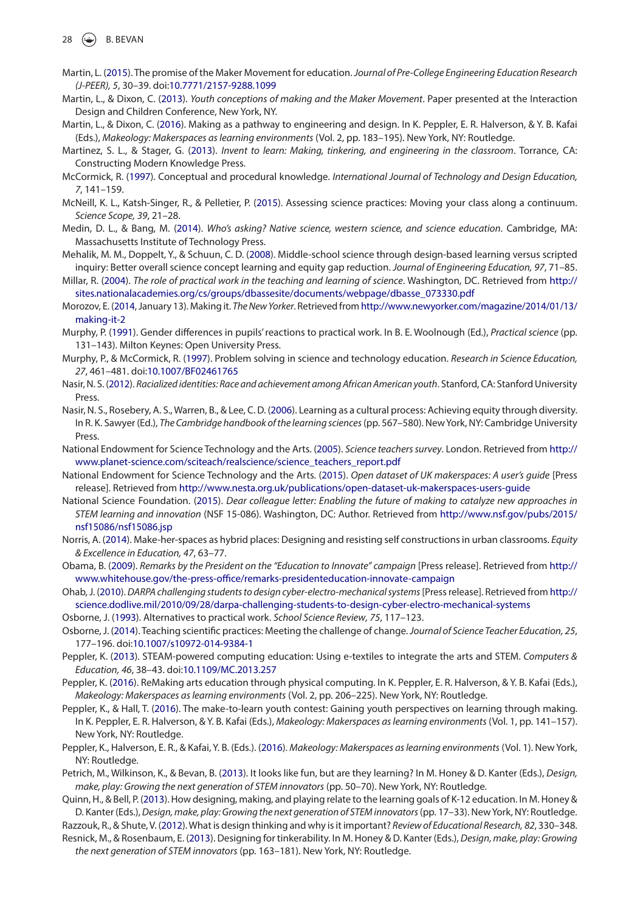- <span id="page-28-10"></span>Martin, L. [\(2015\)](#page-5-7). The promise of the Maker Movement for education. *Journal of Pre-College Engineering Education Research (J-PEER), 5*, 30–39. doi:[10.7771/2157-9288.1099](http://dx.doi.org/10.7771/2157-9288.1099)
- <span id="page-28-28"></span>Martin, L., & Dixon, C. [\(2013\)](#page-20-1). *Youth conceptions of making and the Maker Movement*. Paper presented at the Interaction Design and Children Conference, New York, NY.
- <span id="page-28-1"></span>Martin, L., & Dixon, C. [\(2016\)](#page-1-3). Making as a pathway to engineering and design. In K. Peppler, E. R. Halverson, & Y. B. Kafai (Eds.), *Makeology: Makerspaces as learning environments* (Vol. 2, pp. 183–195). New York, NY: Routledge.
- <span id="page-28-0"></span>Martinez, S. L., & Stager, G. [\(2013\)](#page-1-4). *Invent to learn: Making, tinkering, and engineering in the classroom*. Torrance, CA: Constructing Modern Knowledge Press.
- <span id="page-28-6"></span>McCormick, R. ([1997](#page-2-11)). Conceptual and procedural knowledge. *International Journal of Technology and Design Education, 7*, 141–159.
- <span id="page-28-23"></span>McNeill, K. L., Katsh-Singer, R., & Pelletier, P. ([2015](#page-10-8)). Assessing science practices: Moving your class along a continuum. *Science Scope, 39*, 21–28.
- <span id="page-28-26"></span>Medin, D. L., & Bang, M. [\(2014\)](#page-20-2). *Who's asking? Native science, western science, and science education*. Cambridge, MA: Massachusetts Institute of Technology Press.
- <span id="page-28-21"></span>Mehalik, M. M., Doppelt, Y., & Schuun, C. D. [\(2008\)](#page-10-9). Middle-school science through design-based learning versus scripted inquiry: Better overall science concept learning and equity gap reduction. *Journal of Engineering Education, 97*, 71–85.
- <span id="page-28-18"></span>Millar, R. [\(2004\)](#page-9-8). *The role of practical work in the teaching and learning of science*. Washington, DC. Retrieved from [http://](http://sites.nationalacademies.org/cs/groups/dbassesite/documents/webpage/dbasse_073330.pdf) [sites.nationalacademies.org/cs/groups/dbassesite/documents/webpage/dbasse\\_073330.pdf](http://sites.nationalacademies.org/cs/groups/dbassesite/documents/webpage/dbasse_073330.pdf)
- <span id="page-28-5"></span>Morozov, E. [\(2014](#page-2-12), January 13). Making it. *The New Yorker*. Retrieved from [http://www.newyorker.com/magazine/2014/01/13/](http://www.newyorker.com/magazine/2014/01/13/making-it-2) [making-it-2](http://www.newyorker.com/magazine/2014/01/13/making-it-2)
- <span id="page-28-19"></span>Murphy, P. [\(1991\)](#page-10-10). Gender differences in pupils' reactions to practical work. In B. E. Woolnough (Ed.), *Practical science* (pp. 131–143). Milton Keynes: Open University Press.
- <span id="page-28-24"></span>Murphy, P., & McCormick, R. [\(1997\)](#page-11-2). Problem solving in science and technology education. *Research in Science Education, 27*, 461–481. doi:[10.1007/BF02461765](http://dx.doi.org/10.1007/BF02461765)
- <span id="page-28-7"></span>Nasir, N. S. ([2012](#page-3-2)). *Racialized identities: Race and achievement among African American youth*. Stanford, CA: Stanford University Press.
- <span id="page-28-27"></span>Nasir, N. S., Rosebery, A. S., Warren, B., & Lee, C. D. ([2006](#page-20-3)). Learning as a cultural process: Achieving equity through diversity. In R. K. Sawyer (Ed.), *The Cambridge handbook of the learning sciences* (pp. 567–580). New York, NY: Cambridge University Press.
- <span id="page-28-17"></span>National Endowment for Science Technology and the Arts. [\(2005\)](#page-9-9). *Science teachers survey*. London. Retrieved from [http://](http://www.planet-science.com/sciteach/realscience/science_teachers_report.pdf) [www.planet-science.com/sciteach/realscience/science\\_teachers\\_report.pdf](http://www.planet-science.com/sciteach/realscience/science_teachers_report.pdf)
- <span id="page-28-14"></span>National Endowment for Science Technology and the Arts. [\(2015\)](#page-6-6). *Open dataset of UK makerspaces: A user's guide* [Press release]. Retrieved from<http://www.nesta.org.uk/publications/open-dataset-uk-makerspaces-users-guide>
- <span id="page-28-8"></span>National Science Foundation. ([2015](#page-4-3)). *Dear colleague letter: Enabling the future of making to catalyze new approaches in STEM learning and innovation* (NSF 15-086). Washington, DC: Author. Retrieved from [http://www.nsf.gov/pubs/2015/](http://www.nsf.gov/pubs/2015/nsf15086/nsf15086.jsp) [nsf15086/nsf15086.jsp](http://www.nsf.gov/pubs/2015/nsf15086/nsf15086.jsp)
- <span id="page-28-29"></span>Norris, A. [\(2014\)](#page-22-0). Make-her-spaces as hybrid places: Designing and resisting self constructions in urban classrooms. *Equity & Excellence in Education, 47*, 63–77.
- <span id="page-28-9"></span>Obama, B. ([2009](#page-4-4)). *Remarks by the President on the "Education to Innovate" campaign* [Press release]. Retrieved from [http://](http://www.whitehouse.gov/the-press-office/remarks-presidenteducation-innovate-campaign) [www.whitehouse.gov/the-press-office/remarks-presidenteducation-innovate-campaign](http://www.whitehouse.gov/the-press-office/remarks-presidenteducation-innovate-campaign)
- <span id="page-28-12"></span>Ohab, J. ([2010](#page-6-7)). *DARPA challenging students to design cyber-electro-mechanical systems* [Press release]. Retrieved from [http://](http://science.dodlive.mil/2010/09/28/darpa-challenging-students-to-design-cyber-electro-mechanical-systems) [science.dodlive.mil/2010/09/28/darpa-challenging-students-to-design-cyber-electro-mechanical-systems](http://science.dodlive.mil/2010/09/28/darpa-challenging-students-to-design-cyber-electro-mechanical-systems)
- <span id="page-28-20"></span>Osborne, J. [\(1993\)](#page-10-11). Alternatives to practical work. *School Science Review, 75*, 117–123.
- <span id="page-28-16"></span>Osborne, J. ([2014](#page-9-10)). Teaching scientific practices: Meeting the challenge of change. *Journal of Science Teacher Education, 25*, 177–196. doi[:10.1007/s10972-014-9384-1](http://dx.doi.org/10.1007/s10972-014-9384-1)
- <span id="page-28-25"></span>Peppler, K. [\(2013\)](#page-18-3). STEAM-powered computing education: Using e-textiles to integrate the arts and STEM. *Computers & Education, 46*, 38–43. doi[:10.1109/MC.2013.257](http://dx.doi.org/10.1109/MC.2013.257)
- <span id="page-28-2"></span>Peppler, K. ([2016](#page-1-5)). ReMaking arts education through physical computing. In K. Peppler, E. R. Halverson, & Y. B. Kafai (Eds.), *Makeology: Makerspaces as learning environments* (Vol. 2, pp. 206–225). New York, NY: Routledge.
- <span id="page-28-11"></span>Peppler, K., & Hall, T. [\(2016](#page-5-8)). The make-to-learn youth contest: Gaining youth perspectives on learning through making. In K. Peppler, E. R. Halverson, & Y. B. Kafai (Eds.), *Makeology: Makerspaces as learning environments* (Vol. 1, pp. 141–157). New York, NY: Routledge.
- <span id="page-28-4"></span>Peppler, K., Halverson, E. R., & Kafai, Y. B. (Eds.). [\(2016\)](#page-2-13). *Makeology: Makerspaces as learning environments* (Vol. 1). New York, NY: Routledge.
- <span id="page-28-13"></span>Petrich, M., Wilkinson, K., & Bevan, B. [\(2013\)](#page-6-8). It looks like fun, but are they learning? In M. Honey & D. Kanter (Eds.), *Design, make, play: Growing the next generation of STEM innovators* (pp. 50–70). New York, NY: Routledge.
- <span id="page-28-15"></span>Quinn, H., & Bell, P. ([2013\)](#page-8-3). How designing, making, and playing relate to the learning goals of K-12 education. In M. Honey & D. Kanter (Eds.), *Design, make, play: Growing the next generation of STEM innovators* (pp. 17–33). New York, NY: Routledge.

<span id="page-28-22"></span><span id="page-28-3"></span>Razzouk, R., & Shute, V. [\(2012\)](#page-10-12). What is design thinking and why is it important? *Review of Educational Research, 82*, 330–348. Resnick, M., & Rosenbaum, E. ([2013](#page-1-6)). Designing for tinkerability. In M. Honey & D. Kanter (Eds.), *Design, make, play: Growing the next generation of STEM innovators* (pp. 163–181). New York, NY: Routledge.